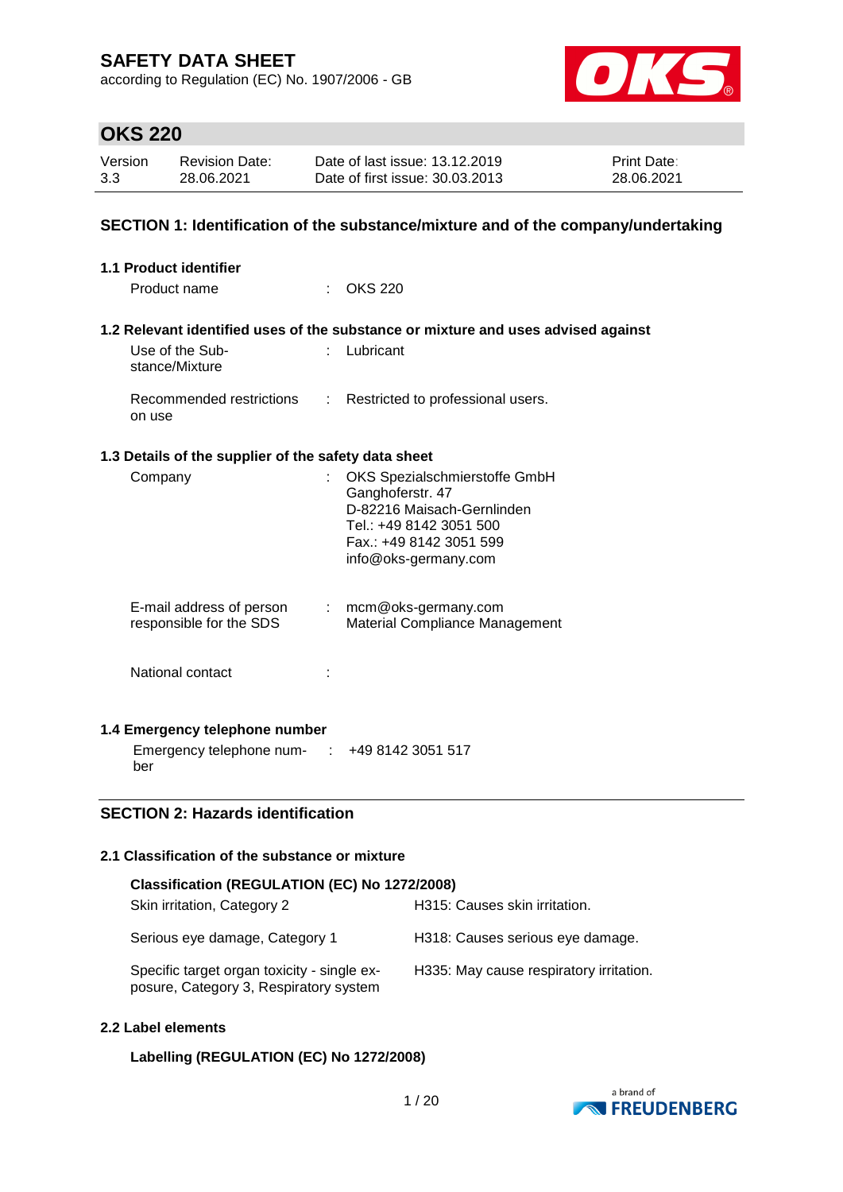according to Regulation (EC) No. 1907/2006 - GB



# **OKS 220**

| Version | <b>Revision Date:</b> | Date of last issue: 13.12.2019  | <b>Print Date:</b> |
|---------|-----------------------|---------------------------------|--------------------|
| 3.3     | 28.06.2021            | Date of first issue: 30.03.2013 | 28.06.2021         |

### **SECTION 1: Identification of the substance/mixture and of the company/undertaking**

| <b>1.1 Product identifier</b>                        |                                                                                                                                                               |
|------------------------------------------------------|---------------------------------------------------------------------------------------------------------------------------------------------------------------|
| Product name                                         | <b>OKS 220</b>                                                                                                                                                |
|                                                      |                                                                                                                                                               |
|                                                      | 1.2 Relevant identified uses of the substance or mixture and uses advised against                                                                             |
| Use of the Sub-<br>stance/Mixture                    | : Lubricant                                                                                                                                                   |
| Recommended restrictions<br>on use                   | : Restricted to professional users.                                                                                                                           |
| 1.3 Details of the supplier of the safety data sheet |                                                                                                                                                               |
| Company                                              | OKS Spezialschmierstoffe GmbH<br>Ganghoferstr. 47<br>D-82216 Maisach-Gernlinden<br>Tel.: +49 8142 3051 500<br>Fax.: +49 8142 3051 599<br>info@oks-germany.com |
| E-mail address of person<br>responsible for the SDS  | : mcm@oks-germany.com<br>Material Compliance Management                                                                                                       |
| National contact                                     |                                                                                                                                                               |
| 1.4 Emergency telephone number                       |                                                                                                                                                               |
| Emergency telephone num-                             | +49 8142 3051 517                                                                                                                                             |

ber

### **SECTION 2: Hazards identification**

### **2.1 Classification of the substance or mixture**

| Classification (REGULATION (EC) No 1272/2008)                                         |                                         |  |  |  |
|---------------------------------------------------------------------------------------|-----------------------------------------|--|--|--|
| Skin irritation, Category 2                                                           | H315: Causes skin irritation.           |  |  |  |
| Serious eye damage, Category 1                                                        | H318: Causes serious eye damage.        |  |  |  |
| Specific target organ toxicity - single ex-<br>posure, Category 3, Respiratory system | H335: May cause respiratory irritation. |  |  |  |

### **2.2 Label elements**

### **Labelling (REGULATION (EC) No 1272/2008)**

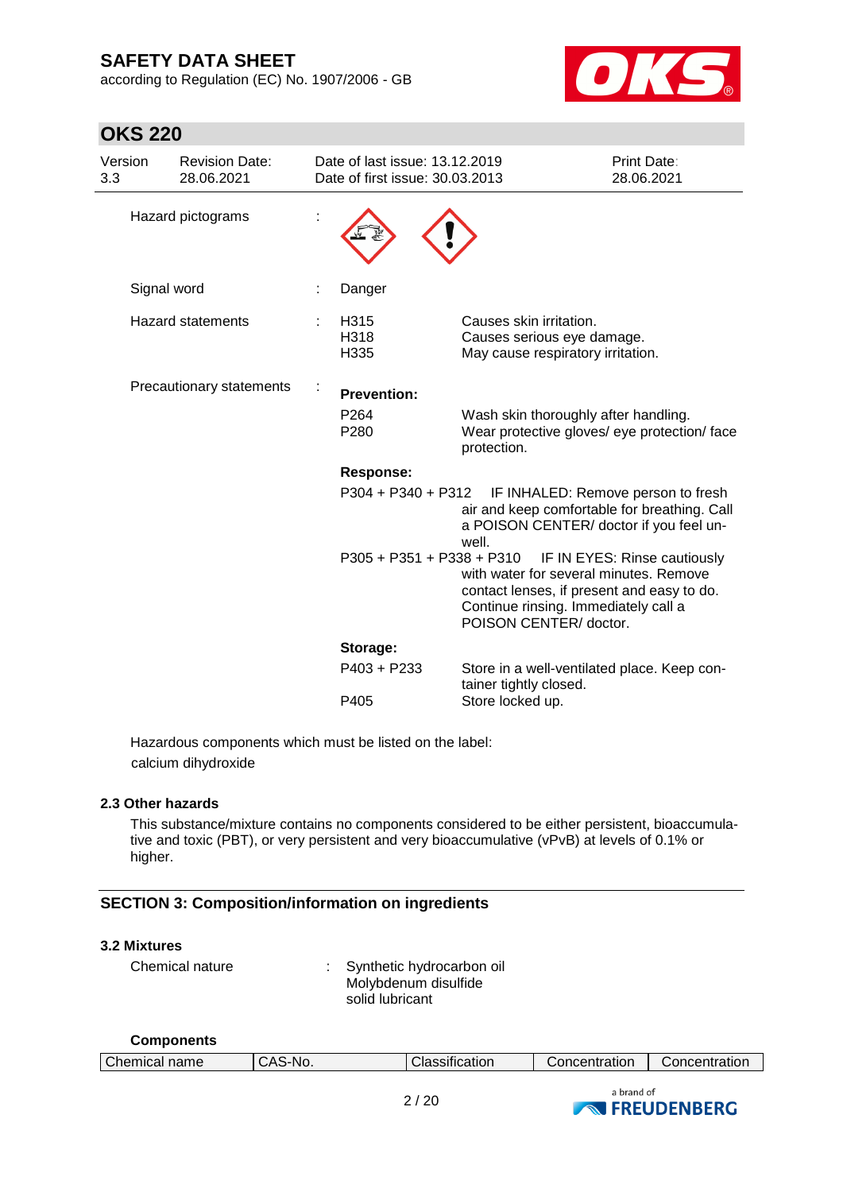**OKS 220**

according to Regulation (EC) No. 1907/2006 - GB



| Version<br>3.3 | <b>Revision Date:</b><br>28.06.2021 | Date of last issue: 13.12.2019<br>Date of first issue: 30.03.2013 |                                                                                                                                                                                                                  | <b>Print Date:</b><br>28.06.2021   |
|----------------|-------------------------------------|-------------------------------------------------------------------|------------------------------------------------------------------------------------------------------------------------------------------------------------------------------------------------------------------|------------------------------------|
|                | Hazard pictograms                   |                                                                   |                                                                                                                                                                                                                  |                                    |
|                | Signal word                         | Danger                                                            |                                                                                                                                                                                                                  |                                    |
|                | <b>Hazard statements</b>            | H315<br>H318<br>H335                                              | Causes skin irritation.<br>Causes serious eye damage.<br>May cause respiratory irritation.                                                                                                                       |                                    |
|                | Precautionary statements            | <b>Prevention:</b><br>P <sub>264</sub><br>P280                    | Wash skin thoroughly after handling.<br>Wear protective gloves/ eye protection/ face<br>protection.                                                                                                              |                                    |
|                |                                     | <b>Response:</b>                                                  |                                                                                                                                                                                                                  |                                    |
|                |                                     | P304 + P340 + P312                                                | air and keep comfortable for breathing. Call<br>a POISON CENTER/ doctor if you feel un-<br>well.                                                                                                                 | IF INHALED: Remove person to fresh |
|                |                                     |                                                                   | P305 + P351 + P338 + P310 IF IN EYES: Rinse cautiously<br>with water for several minutes. Remove<br>contact lenses, if present and easy to do.<br>Continue rinsing. Immediately call a<br>POISON CENTER/ doctor. |                                    |
|                |                                     | Storage:                                                          |                                                                                                                                                                                                                  |                                    |
|                |                                     | $P403 + P233$                                                     | Store in a well-ventilated place. Keep con-<br>tainer tightly closed.                                                                                                                                            |                                    |
|                |                                     | P405                                                              | Store locked up.                                                                                                                                                                                                 |                                    |

Hazardous components which must be listed on the label: calcium dihydroxide

#### **2.3 Other hazards**

This substance/mixture contains no components considered to be either persistent, bioaccumulative and toxic (PBT), or very persistent and very bioaccumulative (vPvB) at levels of 0.1% or higher.

### **SECTION 3: Composition/information on ingredients**

#### **3.2 Mixtures**

**Components**

| Chemical nature | : Synthetic hydrocarbon oil |
|-----------------|-----------------------------|
|                 | Molybdenum disulfide        |
|                 | solid lubricant             |

| <b>VUIINVIIVIILU</b> |         |                |               |               |
|----------------------|---------|----------------|---------------|---------------|
| Chemical name        | CAS-No. | Classification | Concentration | Concentration |
|                      |         |                | a brand of    |               |

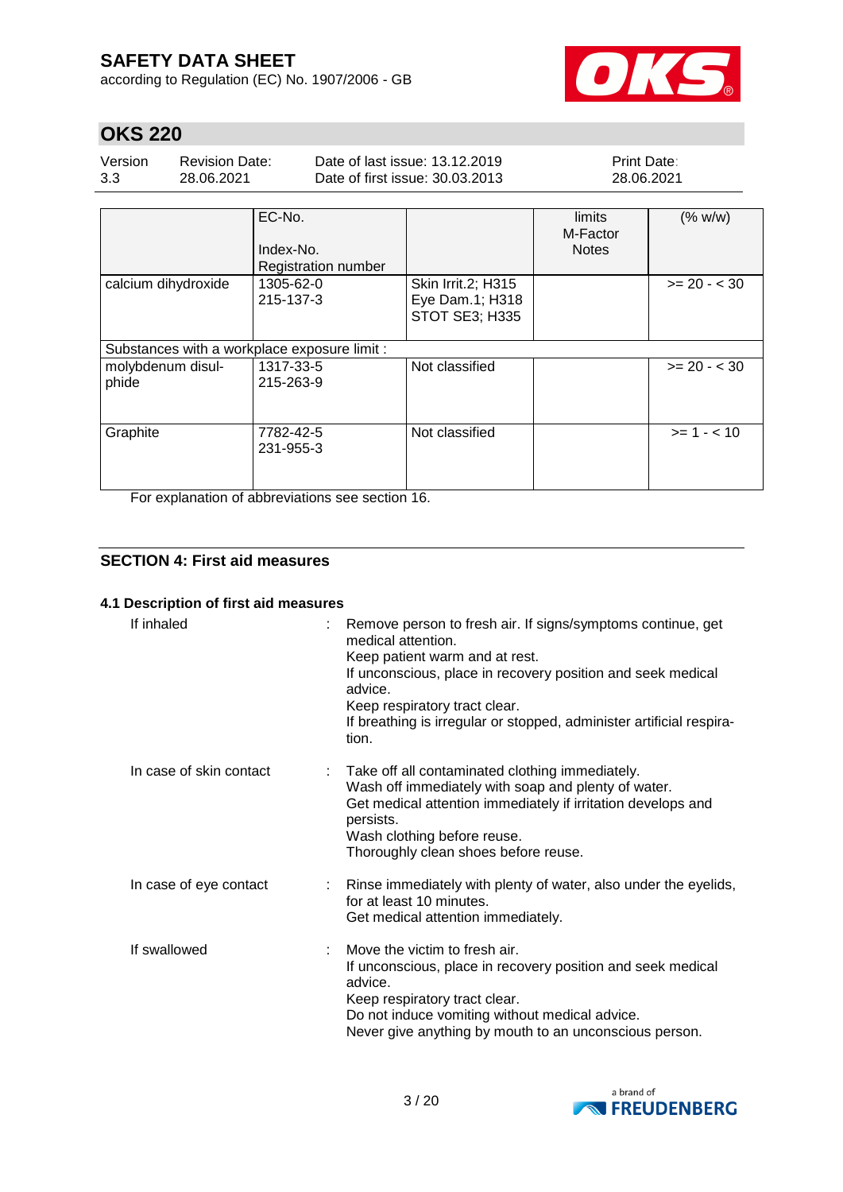according to Regulation (EC) No. 1907/2006 - GB



# **OKS 220**

| Version | Revision Date: | Date of last issue: 13.12.2019  | <b>Print Date:</b> |
|---------|----------------|---------------------------------|--------------------|
| 3.3     | 28.06.2021     | Date of first issue: 30.03.2013 | 28.06.2021         |
|         |                |                                 |                    |

|                                              | EC-No.<br>Index-No.<br><b>Registration number</b> |                                                         | limits<br>M-Factor<br><b>Notes</b> | (% w/w)        |
|----------------------------------------------|---------------------------------------------------|---------------------------------------------------------|------------------------------------|----------------|
| calcium dihydroxide                          | 1305-62-0<br>215-137-3                            | Skin Irrit.2; H315<br>Eye Dam.1; H318<br>STOT SE3; H335 |                                    | $>= 20 - < 30$ |
| Substances with a workplace exposure limit : |                                                   |                                                         |                                    |                |
| molybdenum disul-<br>phide                   | 1317-33-5<br>215-263-9                            | Not classified                                          |                                    | $>= 20 - < 30$ |
| Graphite                                     | 7782-42-5<br>231-955-3                            | Not classified                                          |                                    | $>= 1 - < 10$  |

For explanation of abbreviations see section 16.

### **SECTION 4: First aid measures**

#### **4.1 Description of first aid measures**

| If inhaled              | Remove person to fresh air. If signs/symptoms continue, get<br>medical attention.<br>Keep patient warm and at rest.<br>If unconscious, place in recovery position and seek medical<br>advice.<br>Keep respiratory tract clear.<br>If breathing is irregular or stopped, administer artificial respira-<br>tion. |
|-------------------------|-----------------------------------------------------------------------------------------------------------------------------------------------------------------------------------------------------------------------------------------------------------------------------------------------------------------|
| In case of skin contact | Take off all contaminated clothing immediately.<br>Wash off immediately with soap and plenty of water.<br>Get medical attention immediately if irritation develops and<br>persists.<br>Wash clothing before reuse.<br>Thoroughly clean shoes before reuse.                                                      |
| In case of eye contact  | : Rinse immediately with plenty of water, also under the eyelids,<br>for at least 10 minutes.<br>Get medical attention immediately.                                                                                                                                                                             |
| If swallowed            | Move the victim to fresh air.<br>If unconscious, place in recovery position and seek medical<br>advice.<br>Keep respiratory tract clear.<br>Do not induce vomiting without medical advice.<br>Never give anything by mouth to an unconscious person.                                                            |

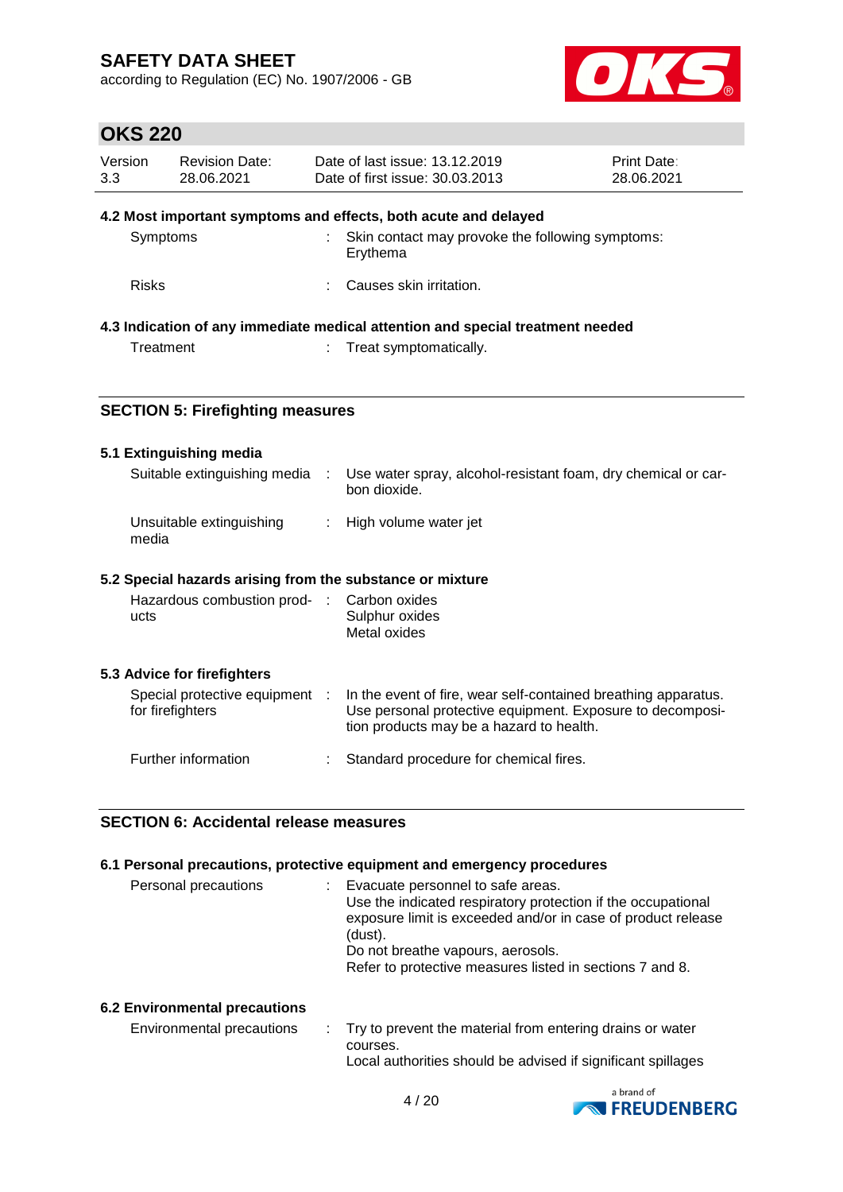according to Regulation (EC) No. 1907/2006 - GB



## **OKS 220**

| Version<br>3.3 | <b>Revision Date:</b><br>28.06.2021                                            |  | Date of last issue: 13.12.2019<br>Date of first issue: 30.03.2013 | Print Date:<br>28.06.2021 |  |
|----------------|--------------------------------------------------------------------------------|--|-------------------------------------------------------------------|---------------------------|--|
|                |                                                                                |  | 4.2 Most important symptoms and effects, both acute and delayed   |                           |  |
| Symptoms       |                                                                                |  | Skin contact may provoke the following symptoms:<br>Erythema      |                           |  |
| <b>Risks</b>   |                                                                                |  | Causes skin irritation.                                           |                           |  |
|                | 4.3 Indication of any immediate medical attention and special treatment needed |  |                                                                   |                           |  |
| Treatment      |                                                                                |  | : Treat symptomatically.                                          |                           |  |
|                |                                                                                |  |                                                                   |                           |  |
|                | <b>SECTION 5: Firefighting measures</b>                                        |  |                                                                   |                           |  |

### **5.1 Extinguishing media**

| Suitable extinguishing media :                            | Use water spray, alcohol-resistant foam, dry chemical or car-<br>bon dioxide. |
|-----------------------------------------------------------|-------------------------------------------------------------------------------|
| Unsuitable extinguishing<br>media                         | : High volume water jet                                                       |
| 5.2 Special hazards arising from the substance or mixture |                                                                               |
| Hazardous combustion prod- : Carbon oxides<br>ucts        | Sulphur oxides                                                                |

Metal oxides

#### **5.3 Advice for firefighters**

| Special protective equipment<br>for firefighters | In the event of fire, wear self-contained breathing apparatus.<br>Use personal protective equipment. Exposure to decomposi-<br>tion products may be a hazard to health. |
|--------------------------------------------------|-------------------------------------------------------------------------------------------------------------------------------------------------------------------------|
| Further information                              | : Standard procedure for chemical fires.                                                                                                                                |

#### **SECTION 6: Accidental release measures**

#### **6.1 Personal precautions, protective equipment and emergency procedures**

| Personal precautions | Evacuate personnel to safe areas.<br>Use the indicated respiratory protection if the occupational<br>exposure limit is exceeded and/or in case of product release<br>(dust).<br>Do not breathe vapours, aerosols.<br>Refer to protective measures listed in sections 7 and 8. |
|----------------------|-------------------------------------------------------------------------------------------------------------------------------------------------------------------------------------------------------------------------------------------------------------------------------|
|                      |                                                                                                                                                                                                                                                                               |

#### **6.2 Environmental precautions**

| Environmental precautions | . Try to prevent the material from entering drains or water  |
|---------------------------|--------------------------------------------------------------|
|                           | courses.                                                     |
|                           | Local authorities should be advised if significant spillages |

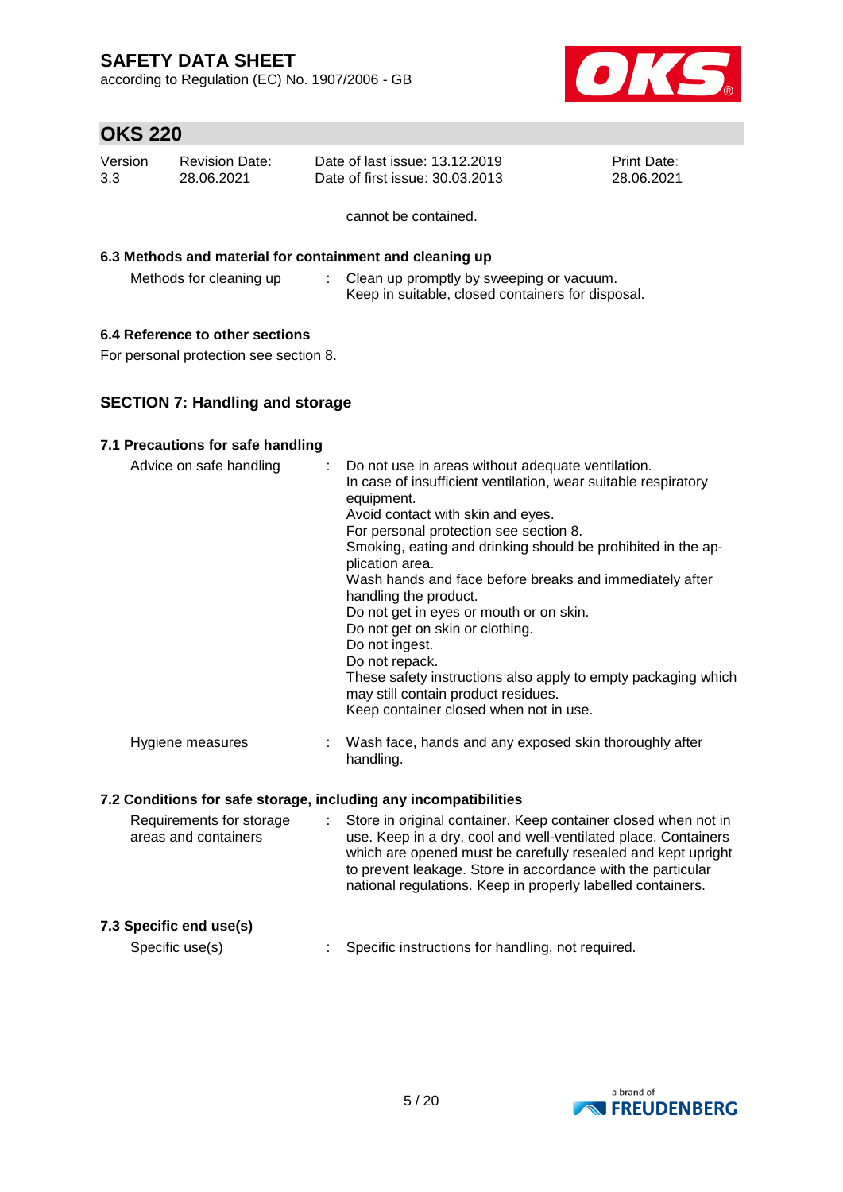according to Regulation (EC) No. 1907/2006 - GB



# **OKS 220**

| Version | Revision Date: | Date of last issue: 13.12.2019  | <b>Print Date:</b> |
|---------|----------------|---------------------------------|--------------------|
| 3.3     | 28.06.2021     | Date of first issue: 30.03.2013 | 28.06.2021         |

cannot be contained.

#### **6.3 Methods and material for containment and cleaning up**

Methods for cleaning up : Clean up promptly by sweeping or vacuum. Keep in suitable, closed containers for disposal.

### **6.4 Reference to other sections**

For personal protection see section 8.

### **SECTION 7: Handling and storage**

### **7.1 Precautions for safe handling**

| Advice on safe handling | : Do not use in areas without adequate ventilation.<br>In case of insufficient ventilation, wear suitable respiratory<br>equipment.<br>Avoid contact with skin and eyes.<br>For personal protection see section 8.<br>Smoking, eating and drinking should be prohibited in the ap-<br>plication area.<br>Wash hands and face before breaks and immediately after<br>handling the product.<br>Do not get in eyes or mouth or on skin.<br>Do not get on skin or clothing.<br>Do not ingest.<br>Do not repack.<br>These safety instructions also apply to empty packaging which<br>may still contain product residues.<br>Keep container closed when not in use. |
|-------------------------|---------------------------------------------------------------------------------------------------------------------------------------------------------------------------------------------------------------------------------------------------------------------------------------------------------------------------------------------------------------------------------------------------------------------------------------------------------------------------------------------------------------------------------------------------------------------------------------------------------------------------------------------------------------|
| Hygiene measures        | Wash face, hands and any exposed skin thoroughly after<br>handling.                                                                                                                                                                                                                                                                                                                                                                                                                                                                                                                                                                                           |

#### **7.2 Conditions for safe storage, including any incompatibilities**

| Requirements for storage<br>areas and containers | Store in original container. Keep container closed when not in<br>use. Keep in a dry, cool and well-ventilated place. Containers<br>which are opened must be carefully resealed and kept upright<br>to prevent leakage. Store in accordance with the particular<br>national regulations. Keep in properly labelled containers. |
|--------------------------------------------------|--------------------------------------------------------------------------------------------------------------------------------------------------------------------------------------------------------------------------------------------------------------------------------------------------------------------------------|
| 7.3 Specific end use(s)                          |                                                                                                                                                                                                                                                                                                                                |
| Specific use(s)                                  | Specific instructions for handling, not required.                                                                                                                                                                                                                                                                              |

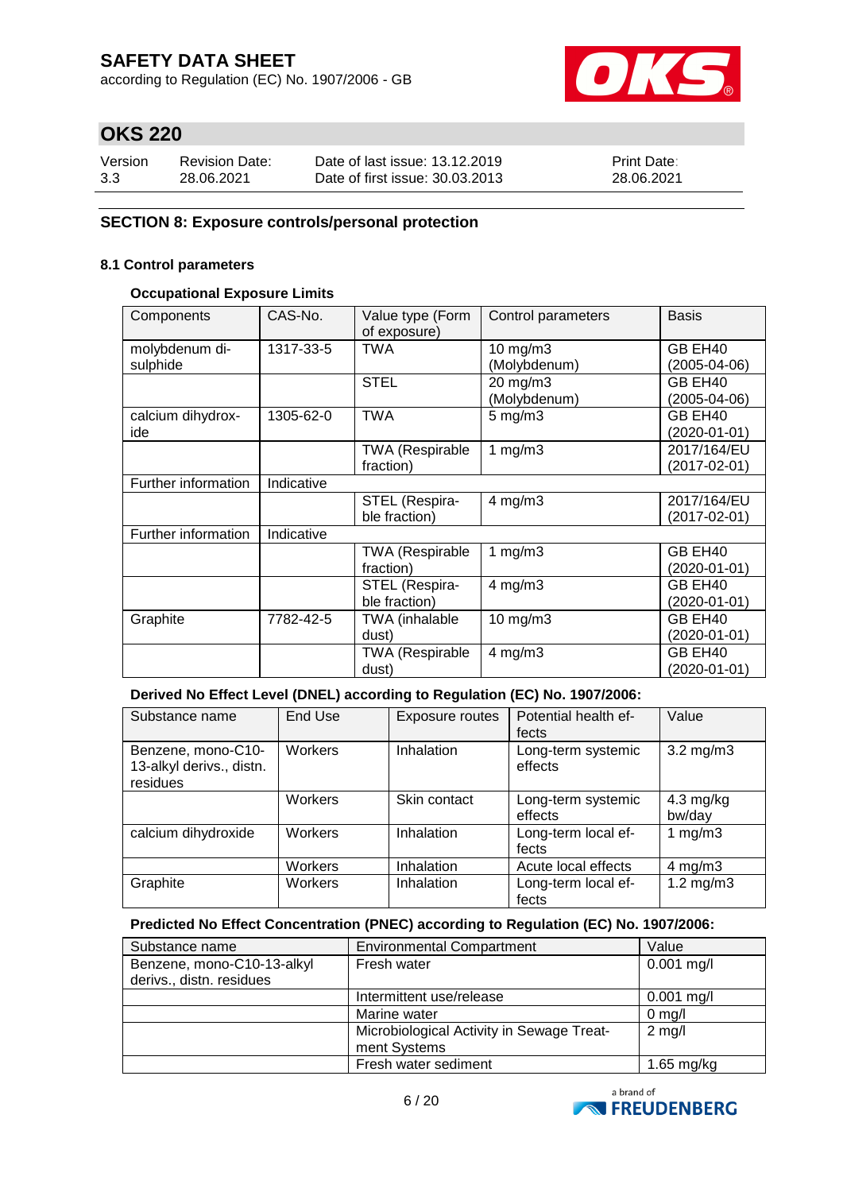according to Regulation (EC) No. 1907/2006 - GB



# **OKS 220**

| Version | <b>Revision Date:</b> | Date of last issue: 13.12.2019  | <b>Print Date:</b> |
|---------|-----------------------|---------------------------------|--------------------|
| 3.3     | 28.06.2021            | Date of first issue: 30.03.2013 | 28.06.2021         |

### **SECTION 8: Exposure controls/personal protection**

#### **8.1 Control parameters**

### **Occupational Exposure Limits**

| Components                 | CAS-No.    | Value type (Form<br>of exposure)    | Control parameters            | <b>Basis</b>                |
|----------------------------|------------|-------------------------------------|-------------------------------|-----------------------------|
| molybdenum di-<br>sulphide | 1317-33-5  | <b>TWA</b>                          | $10$ mg/m $3$<br>(Molybdenum) | GB EH40<br>(2005-04-06)     |
|                            |            | <b>STEL</b>                         | 20 mg/m3<br>(Molybdenum)      | GB EH40<br>(2005-04-06)     |
| calcium dihydrox-<br>ide   | 1305-62-0  | <b>TWA</b>                          | $5 \text{ mg/m}$ 3            | GB EH40<br>(2020-01-01)     |
|                            |            | <b>TWA (Respirable</b><br>fraction) | 1 $mg/m3$                     | 2017/164/EU<br>(2017-02-01) |
| Further information        | Indicative |                                     |                               |                             |
|                            |            | STEL (Respira-<br>ble fraction)     | $4$ mg/m $3$                  | 2017/164/EU<br>(2017-02-01) |
| Further information        | Indicative |                                     |                               |                             |
|                            |            | <b>TWA (Respirable</b><br>fraction) | 1 $mg/m3$                     | GB EH40<br>(2020-01-01)     |
|                            |            | STEL (Respira-<br>ble fraction)     | $4$ mg/m $3$                  | GB EH40<br>(2020-01-01)     |
| Graphite                   | 7782-42-5  | TWA (inhalable<br>dust)             | $10$ mg/m $3$                 | GB EH40<br>(2020-01-01)     |
|                            |            | <b>TWA (Respirable</b><br>dust)     | $4$ mg/m $3$                  | GB EH40<br>(2020-01-01)     |

### **Derived No Effect Level (DNEL) according to Regulation (EC) No. 1907/2006:**

| Substance name                                             | End Use | <b>Exposure routes</b> | Potential health ef-<br>fects | Value                         |
|------------------------------------------------------------|---------|------------------------|-------------------------------|-------------------------------|
| Benzene, mono-C10-<br>13-alkyl derivs., distn.<br>residues | Workers | Inhalation             | Long-term systemic<br>effects | $3.2 \text{ mg/m}$            |
|                                                            | Workers | Skin contact           | Long-term systemic<br>effects | $4.3 \text{ mg/kg}$<br>bw/day |
| calcium dihydroxide                                        | Workers | Inhalation             | Long-term local ef-<br>fects  | 1 $mg/m3$                     |
|                                                            | Workers | Inhalation             | Acute local effects           | $4 \text{ mg/m}$ 3            |
| Graphite                                                   | Workers | Inhalation             | Long-term local ef-<br>fects  | $1.2 \text{ mg/m}$ 3          |

#### **Predicted No Effect Concentration (PNEC) according to Regulation (EC) No. 1907/2006:**

| Substance name             | <b>Environmental Compartment</b>          | Value        |
|----------------------------|-------------------------------------------|--------------|
| Benzene, mono-C10-13-alkyl | Fresh water                               | $0.001$ mg/l |
| derivs., distn. residues   |                                           |              |
|                            | Intermittent use/release                  | $0.001$ mg/l |
|                            | Marine water                              | $0$ mg/l     |
|                            | Microbiological Activity in Sewage Treat- | $2$ mg/l     |
|                            | ment Systems                              |              |
|                            | Fresh water sediment                      | $1.65$ mg/kg |

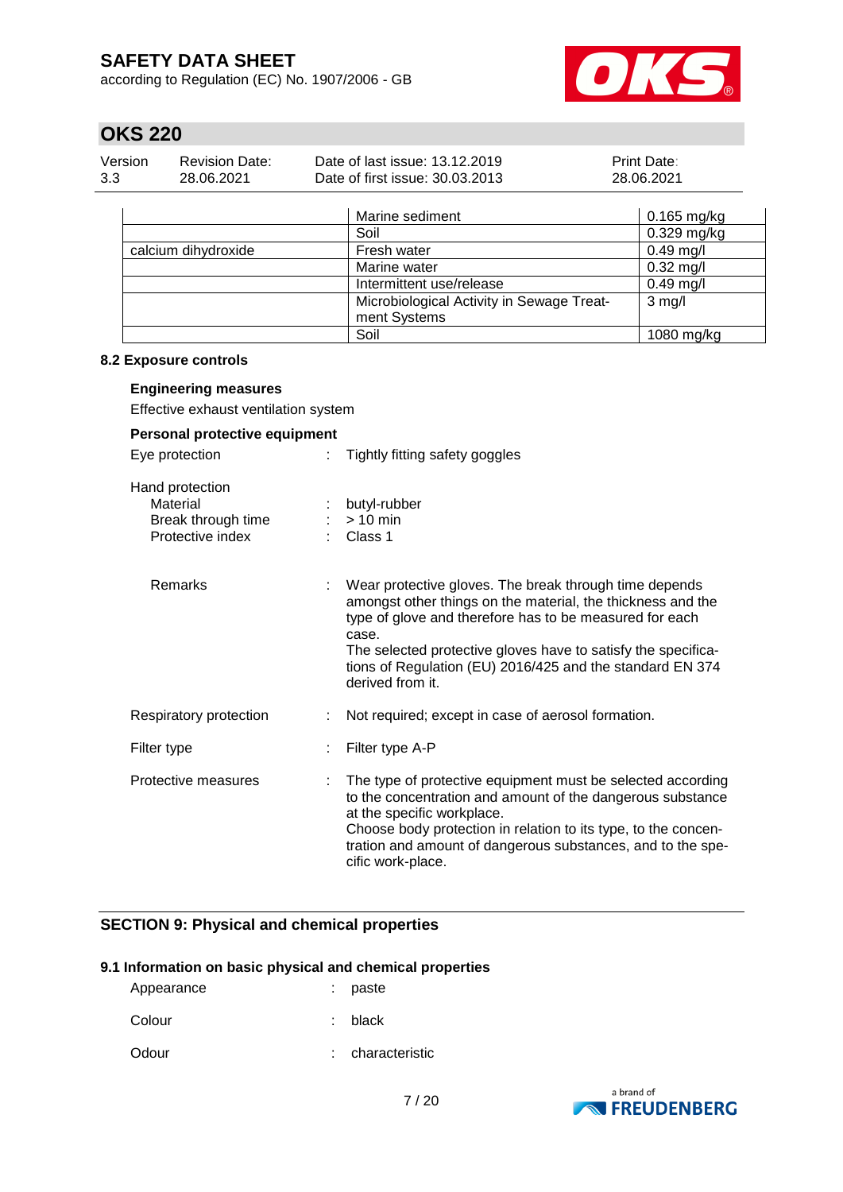according to Regulation (EC) No. 1907/2006 - GB



## **OKS 220**

| Version | Revision Date: | Date of last issue: 13.12.2019  | <b>Print Date:</b> |
|---------|----------------|---------------------------------|--------------------|
| 3.3     | 28.06.2021     | Date of first issue: 30.03.2013 | 28.06.2021         |

|                     | Marine sediment                           | $0.165$ mg/kg |
|---------------------|-------------------------------------------|---------------|
|                     | Soil                                      | $0.329$ mg/kg |
| calcium dihydroxide | Fresh water                               | $0.49$ mg/l   |
|                     | Marine water                              | $0.32$ mg/l   |
|                     | Intermittent use/release                  | $0.49$ mg/l   |
|                     | Microbiological Activity in Sewage Treat- | $3$ mg/l      |
|                     | ment Systems                              |               |
|                     | Soil                                      | $1080$ mg/kg  |

#### **8.2 Exposure controls**

#### **Engineering measures**

Effective exhaust ventilation system

| Personal protective equipment                                         |                                                                                                                                                                                                                                                                                                                                             |  |  |
|-----------------------------------------------------------------------|---------------------------------------------------------------------------------------------------------------------------------------------------------------------------------------------------------------------------------------------------------------------------------------------------------------------------------------------|--|--|
| Eye protection                                                        | Tightly fitting safety goggles<br>÷.                                                                                                                                                                                                                                                                                                        |  |  |
| Hand protection<br>Material<br>Break through time<br>Protective index | butyl-rubber<br>$> 10$ min<br>Class 1                                                                                                                                                                                                                                                                                                       |  |  |
| <b>Remarks</b>                                                        | Wear protective gloves. The break through time depends<br>amongst other things on the material, the thickness and the<br>type of glove and therefore has to be measured for each<br>case.<br>The selected protective gloves have to satisfy the specifica-<br>tions of Regulation (EU) 2016/425 and the standard EN 374<br>derived from it. |  |  |
| Respiratory protection                                                | Not required; except in case of aerosol formation.                                                                                                                                                                                                                                                                                          |  |  |
| Filter type                                                           | Filter type A-P                                                                                                                                                                                                                                                                                                                             |  |  |
| Protective measures                                                   | The type of protective equipment must be selected according<br>to the concentration and amount of the dangerous substance<br>at the specific workplace.<br>Choose body protection in relation to its type, to the concen-<br>tration and amount of dangerous substances, and to the spe-<br>cific work-place.                               |  |  |

### **SECTION 9: Physical and chemical properties**

#### **9.1 Information on basic physical and chemical properties**

| paste |
|-------|
|       |

Colour : black

Odour : characteristic

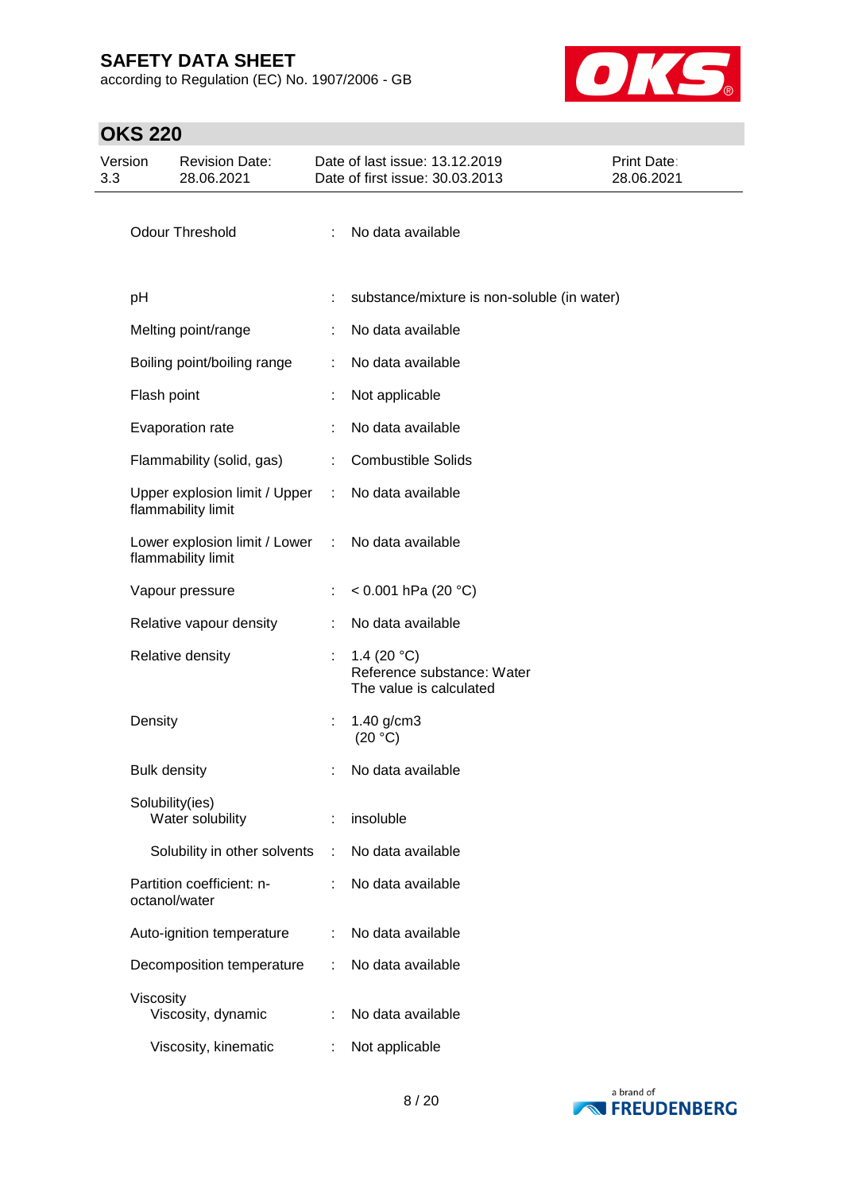according to Regulation (EC) No. 1907/2006 - GB



| Version<br>3.3 |                     | <b>Revision Date:</b><br>28.06.2021                 |                             | Date of last issue: 13.12.2019<br>Date of first issue: 30.03.2013              | <b>Print Date:</b><br>28.06.2021 |
|----------------|---------------------|-----------------------------------------------------|-----------------------------|--------------------------------------------------------------------------------|----------------------------------|
|                |                     | <b>Odour Threshold</b>                              | ÷                           | No data available                                                              |                                  |
|                | pH                  |                                                     |                             | substance/mixture is non-soluble (in water)                                    |                                  |
|                |                     | Melting point/range                                 |                             | No data available                                                              |                                  |
|                |                     | Boiling point/boiling range                         | ÷                           | No data available                                                              |                                  |
|                | Flash point         |                                                     | t                           | Not applicable                                                                 |                                  |
|                |                     | Evaporation rate                                    |                             | No data available                                                              |                                  |
|                |                     | Flammability (solid, gas)                           | ÷.                          | <b>Combustible Solids</b>                                                      |                                  |
|                |                     | Upper explosion limit / Upper<br>flammability limit | ÷.                          | No data available                                                              |                                  |
|                |                     | Lower explosion limit / Lower<br>flammability limit | $\mathcal{L}^{\mathcal{L}}$ | No data available                                                              |                                  |
|                |                     | Vapour pressure                                     | ÷                           | < $0.001$ hPa (20 °C)                                                          |                                  |
|                |                     | Relative vapour density                             | ÷                           | No data available                                                              |                                  |
|                |                     | Relative density                                    |                             | 1.4 (20 $^{\circ}$ C)<br>Reference substance: Water<br>The value is calculated |                                  |
|                | Density             |                                                     | t,                          | $1.40$ g/cm3<br>(20 °C)                                                        |                                  |
|                | <b>Bulk density</b> |                                                     |                             | No data available                                                              |                                  |
|                | Solubility(ies)     | Water solubility                                    | ÷                           | insoluble                                                                      |                                  |
|                |                     | Solubility in other solvents                        | ÷                           | No data available                                                              |                                  |
|                | octanol/water       | Partition coefficient: n-                           |                             | No data available                                                              |                                  |
|                |                     | Auto-ignition temperature                           |                             | No data available                                                              |                                  |
|                |                     | Decomposition temperature                           | ÷                           | No data available                                                              |                                  |
|                | Viscosity           | Viscosity, dynamic                                  |                             | No data available                                                              |                                  |
|                |                     | Viscosity, kinematic                                |                             | Not applicable                                                                 |                                  |

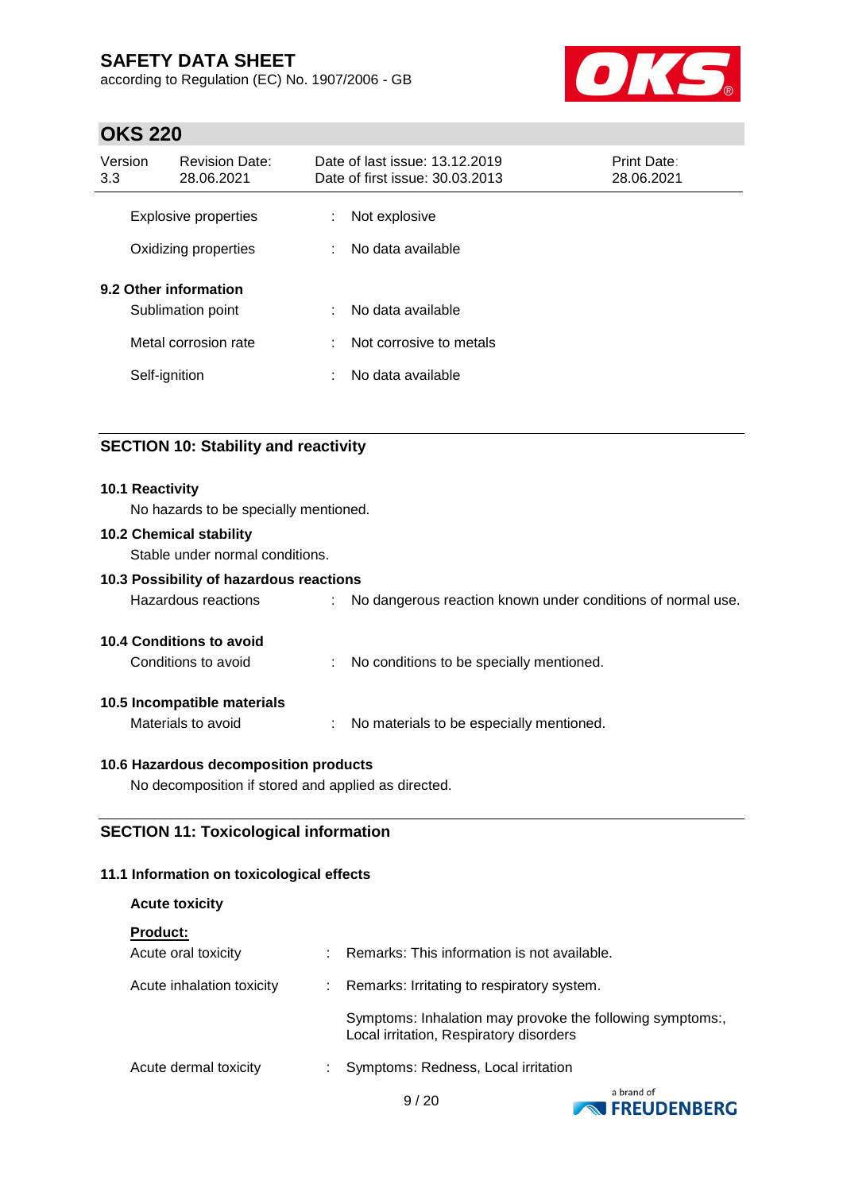according to Regulation (EC) No. 1907/2006 - GB



## **OKS 220**

| Version<br>3.3 | <b>Revision Date:</b><br>28.06.2021          |        | Date of last issue: 13.12.2019<br>Date of first issue: 30.03.2013 | <b>Print Date:</b><br>28.06.2021 |
|----------------|----------------------------------------------|--------|-------------------------------------------------------------------|----------------------------------|
|                | Explosive properties<br>Oxidizing properties | ÷<br>÷ | Not explosive<br>No data available                                |                                  |
|                | 9.2 Other information<br>Sublimation point   | ÷      | No data available                                                 |                                  |
|                | Metal corrosion rate                         | ÷      | Not corrosive to metals                                           |                                  |
|                | Self-ignition                                | ÷      | No data available                                                 |                                  |

### **SECTION 10: Stability and reactivity**

#### **10.1 Reactivity**

No hazards to be specially mentioned.

#### **10.2 Chemical stability**

Stable under normal conditions.

### **10.3 Possibility of hazardous reactions**

| No dangerous reaction known under conditions of normal use.<br>Hazardous reactions |
|------------------------------------------------------------------------------------|
|------------------------------------------------------------------------------------|

#### **10.4 Conditions to avoid**

Conditions to avoid : No conditions to be specially mentioned.

#### **10.5 Incompatible materials**

Materials to avoid : No materials to be especially mentioned.

#### **10.6 Hazardous decomposition products**

No decomposition if stored and applied as directed.

### **SECTION 11: Toxicological information**

#### **11.1 Information on toxicological effects**

| <b>Acute toxicity</b>     |                                                                                                      |
|---------------------------|------------------------------------------------------------------------------------------------------|
| <b>Product:</b>           |                                                                                                      |
| Acute oral toxicity       | Remarks: This information is not available.                                                          |
| Acute inhalation toxicity | Remarks: Irritating to respiratory system.                                                           |
|                           | Symptoms: Inhalation may provoke the following symptoms:,<br>Local irritation, Respiratory disorders |
| Acute dermal toxicity     | Symptoms: Redness, Local irritation                                                                  |



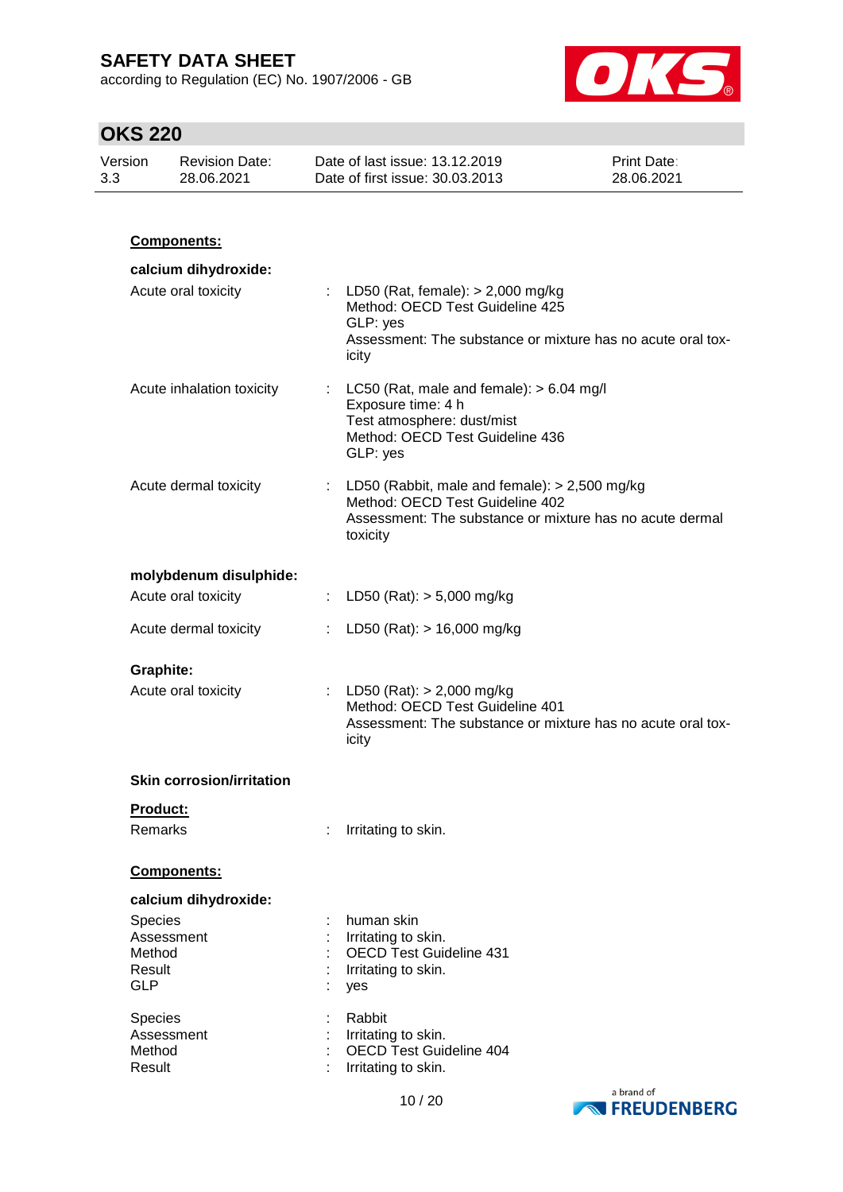according to Regulation (EC) No. 1907/2006 - GB



| Version<br>3.3 |                                                         | <b>Revision Date:</b><br>28.06.2021 | Date of last issue: 13.12.2019<br>Date of first issue: 30.03.2013                                                                                            | Print Date:<br>28.06.2021 |
|----------------|---------------------------------------------------------|-------------------------------------|--------------------------------------------------------------------------------------------------------------------------------------------------------------|---------------------------|
|                |                                                         |                                     |                                                                                                                                                              |                           |
|                |                                                         | Components:                         |                                                                                                                                                              |                           |
|                |                                                         | calcium dihydroxide:                |                                                                                                                                                              |                           |
|                |                                                         | Acute oral toxicity                 | : LD50 (Rat, female): $> 2,000$ mg/kg<br>Method: OECD Test Guideline 425<br>GLP: yes<br>Assessment: The substance or mixture has no acute oral tox-<br>icity |                           |
|                |                                                         | Acute inhalation toxicity           | : LC50 (Rat, male and female): $> 6.04$ mg/l<br>Exposure time: 4 h<br>Test atmosphere: dust/mist<br>Method: OECD Test Guideline 436<br>GLP: yes              |                           |
|                |                                                         | Acute dermal toxicity               | : LD50 (Rabbit, male and female): $> 2,500$ mg/kg<br>Method: OECD Test Guideline 402<br>Assessment: The substance or mixture has no acute dermal<br>toxicity |                           |
|                |                                                         | molybdenum disulphide:              |                                                                                                                                                              |                           |
|                |                                                         | Acute oral toxicity                 | : LD50 (Rat): $> 5,000$ mg/kg                                                                                                                                |                           |
|                |                                                         | Acute dermal toxicity               | LD50 (Rat): $> 16,000$ mg/kg                                                                                                                                 |                           |
|                | <b>Graphite:</b>                                        | Acute oral toxicity                 | : LD50 (Rat): $> 2,000$ mg/kg<br>Method: OECD Test Guideline 401<br>Assessment: The substance or mixture has no acute oral tox-<br>icity                     |                           |
|                |                                                         | <b>Skin corrosion/irritation</b>    |                                                                                                                                                              |                           |
|                | Product:<br>Remarks                                     |                                     | Irritating to skin.                                                                                                                                          |                           |
|                |                                                         | <b>Components:</b>                  |                                                                                                                                                              |                           |
|                |                                                         | calcium dihydroxide:                |                                                                                                                                                              |                           |
|                | Species<br>Assessment<br>Method<br>Result<br><b>GLP</b> |                                     | human skin<br>Irritating to skin.<br><b>OECD Test Guideline 431</b><br>Irritating to skin.<br>yes                                                            |                           |
|                | Species<br>Assessment<br>Method<br>Result               |                                     | Rabbit<br>Irritating to skin.<br><b>OECD Test Guideline 404</b><br>Irritating to skin.                                                                       |                           |

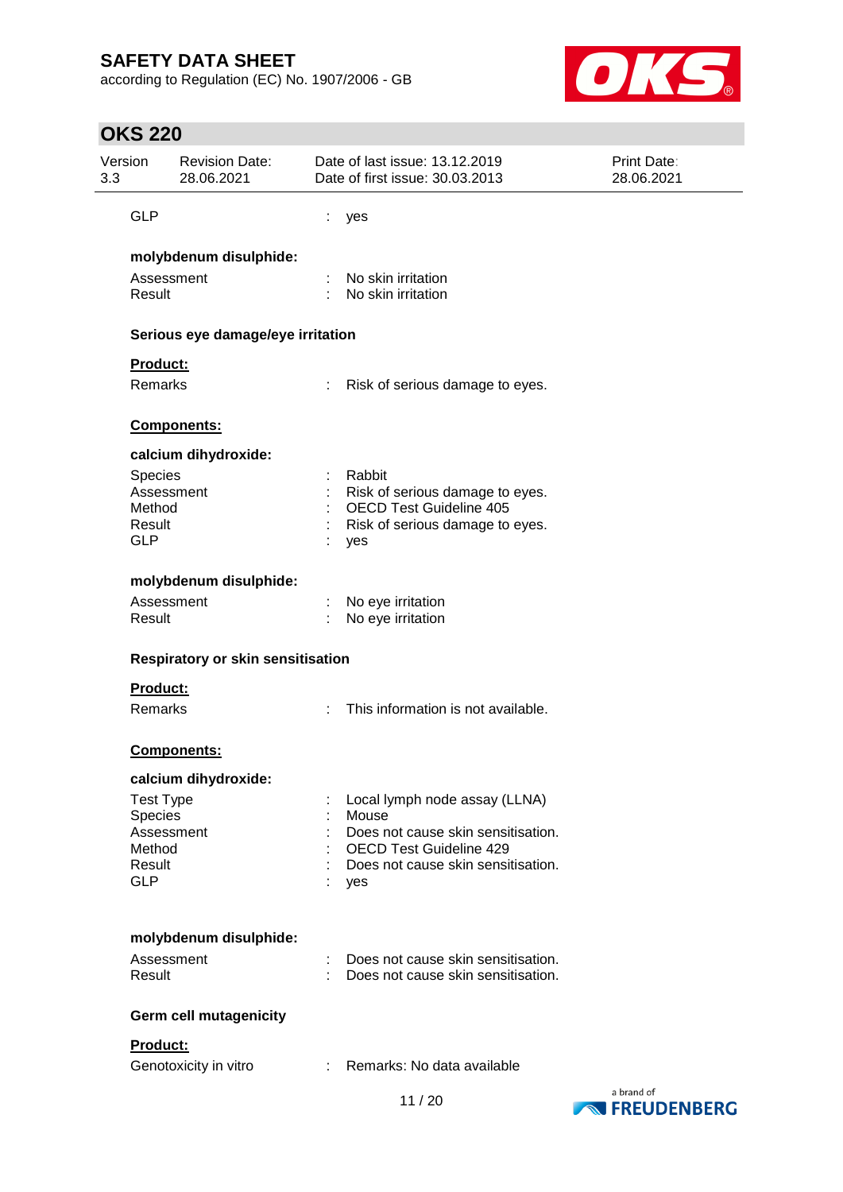according to Regulation (EC) No. 1907/2006 - GB



| Version<br>3.3 | Revision Date:<br>28.06.2021      | Date of last issue: 13.12.2019<br>Date of first issue: 30.03.2013 | Print Date:<br>28.06.2021 |
|----------------|-----------------------------------|-------------------------------------------------------------------|---------------------------|
|                | <b>GLP</b>                        | yes                                                               |                           |
|                | molybdenum disulphide:            |                                                                   |                           |
|                | Assessment<br>Result              | No skin irritation<br>No skin irritation                          |                           |
|                | Serious eye damage/eye irritation |                                                                   |                           |
|                | Product:                          |                                                                   |                           |
|                | Remarks                           | Risk of serious damage to eyes.                                   |                           |
|                | Components:                       |                                                                   |                           |
|                | calcium dihydroxide:              |                                                                   |                           |
|                | Species                           | Rabbit                                                            |                           |
|                | Assessment<br>Method              | Risk of serious damage to eyes.<br><b>OECD Test Guideline 405</b> |                           |
|                | Result<br><b>GLP</b>              | Risk of serious damage to eyes.<br>yes                            |                           |
|                | molybdenum disulphide:            |                                                                   |                           |
|                | Assessment                        | No eye irritation                                                 |                           |
|                | Result                            | No eye irritation                                                 |                           |
|                | Respiratory or skin sensitisation |                                                                   |                           |
|                | Product:                          |                                                                   |                           |
|                | Remarks                           | This information is not available.                                |                           |
|                | <b>Components:</b>                |                                                                   |                           |
|                | calcium dihydroxide:              |                                                                   |                           |
|                | <b>Test Type</b>                  | Local lymph node assay (LLNA)                                     |                           |
|                | Species<br>Assessment             | Mouse<br>Does not cause skin sensitisation.                       |                           |
|                | Method                            | <b>OECD Test Guideline 429</b>                                    |                           |
|                | Result                            | Does not cause skin sensitisation.                                |                           |
|                | <b>GLP</b>                        | yes                                                               |                           |
|                | molybdenum disulphide:            |                                                                   |                           |
|                | Assessment                        | Does not cause skin sensitisation.                                |                           |
|                | Result                            | Does not cause skin sensitisation.                                |                           |
|                | <b>Germ cell mutagenicity</b>     |                                                                   |                           |
|                | Product:                          |                                                                   |                           |
|                | Genotoxicity in vitro             | Remarks: No data available<br>$\mathcal{L}$                       |                           |
|                |                                   |                                                                   | a brand of                |

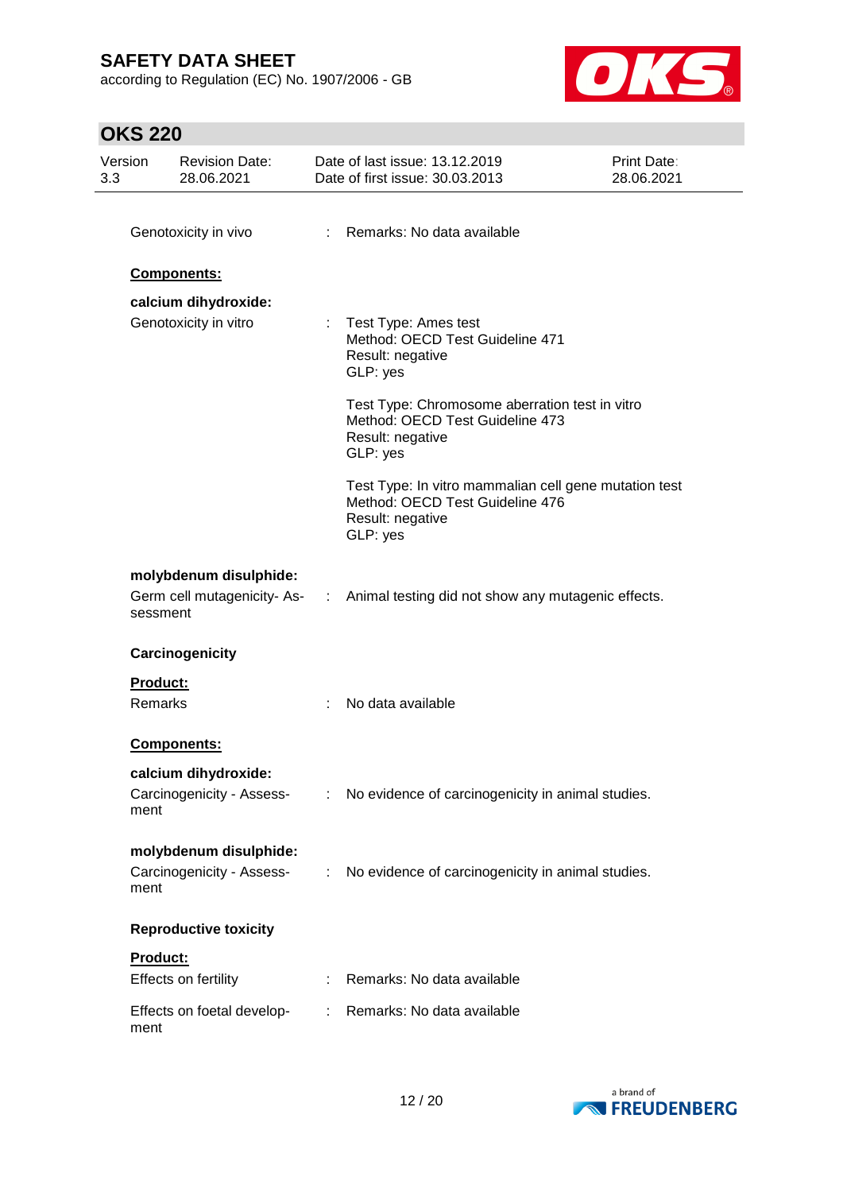according to Regulation (EC) No. 1907/2006 - GB



| Version<br>3.3 | <b>Revision Date:</b><br>28.06.2021 |                | Date of last issue: 13.12.2019<br>Date of first issue: 30.03.2013                                                        | Print Date:<br>28.06.2021 |
|----------------|-------------------------------------|----------------|--------------------------------------------------------------------------------------------------------------------------|---------------------------|
|                |                                     |                |                                                                                                                          |                           |
|                | Genotoxicity in vivo                |                | : Remarks: No data available                                                                                             |                           |
|                | Components:                         |                |                                                                                                                          |                           |
|                | calcium dihydroxide:                |                |                                                                                                                          |                           |
|                | Genotoxicity in vitro               | t.             | Test Type: Ames test<br>Method: OECD Test Guideline 471<br>Result: negative<br>GLP: yes                                  |                           |
|                |                                     |                | Test Type: Chromosome aberration test in vitro<br>Method: OECD Test Guideline 473<br>Result: negative<br>GLP: yes        |                           |
|                |                                     |                | Test Type: In vitro mammalian cell gene mutation test<br>Method: OECD Test Guideline 476<br>Result: negative<br>GLP: yes |                           |
| sessment       | molybdenum disulphide:              |                | Germ cell mutagenicity-As- : Animal testing did not show any mutagenic effects.                                          |                           |
|                | Carcinogenicity                     |                |                                                                                                                          |                           |
| Product:       |                                     |                |                                                                                                                          |                           |
| Remarks        |                                     |                | No data available                                                                                                        |                           |
|                | <b>Components:</b>                  |                |                                                                                                                          |                           |
|                | calcium dihydroxide:                |                |                                                                                                                          |                           |
| ment           | Carcinogenicity - Assess-           |                | : No evidence of carcinogenicity in animal studies.                                                                      |                           |
|                | molybdenum disulphide:              |                |                                                                                                                          |                           |
| ment           | Carcinogenicity - Assess-           | $\mathbb{Z}^n$ | No evidence of carcinogenicity in animal studies.                                                                        |                           |
|                | <b>Reproductive toxicity</b>        |                |                                                                                                                          |                           |
| Product:       |                                     |                |                                                                                                                          |                           |
|                | Effects on fertility                |                | Remarks: No data available                                                                                               |                           |
| ment           | Effects on foetal develop-          |                | : Remarks: No data available                                                                                             |                           |

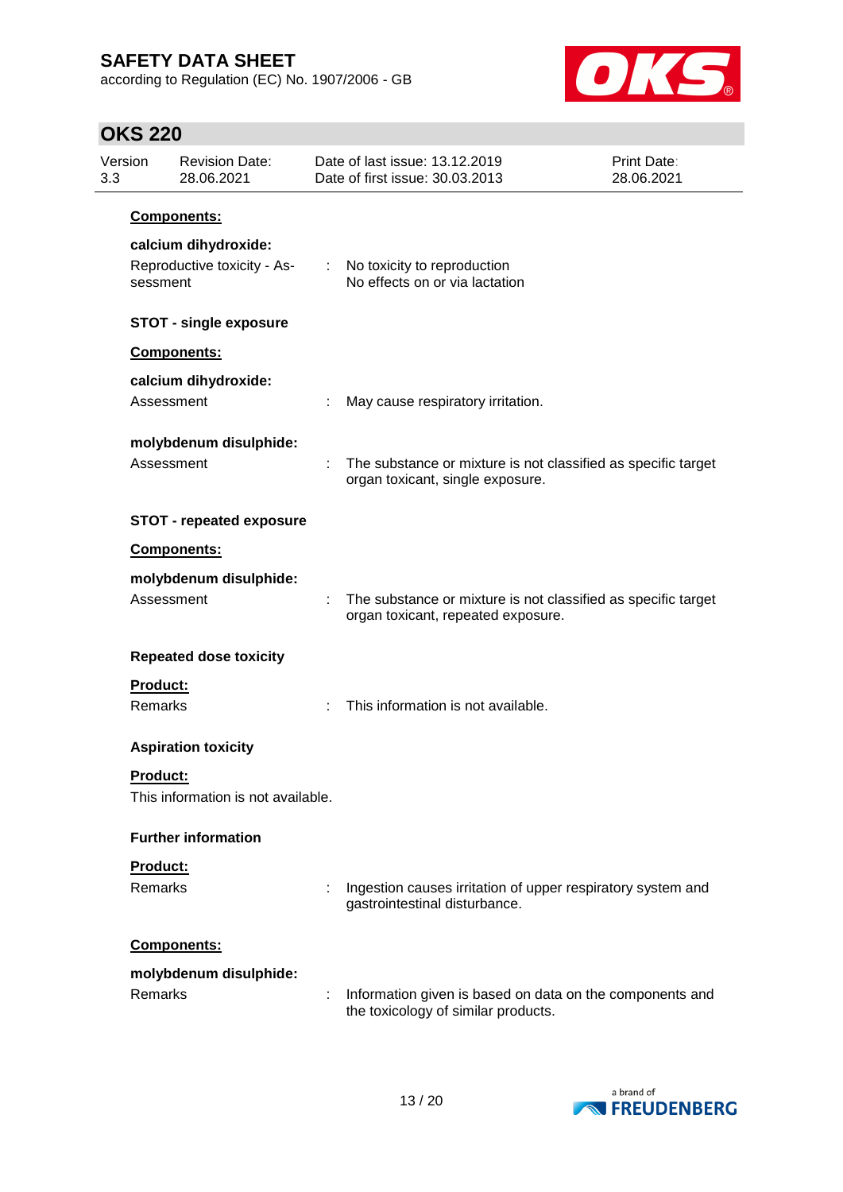according to Regulation (EC) No. 1907/2006 - GB



| Version<br>3.3 |                                 | <b>Revision Date:</b><br>28.06.2021                 |  | Date of last issue: 13.12.2019<br>Date of first issue: 30.03.2013                                   | Print Date:<br>28.06.2021 |  |  |  |
|----------------|---------------------------------|-----------------------------------------------------|--|-----------------------------------------------------------------------------------------------------|---------------------------|--|--|--|
|                | Components:                     |                                                     |  |                                                                                                     |                           |  |  |  |
|                | sessment                        | calcium dihydroxide:<br>Reproductive toxicity - As- |  | : No toxicity to reproduction<br>No effects on or via lactation                                     |                           |  |  |  |
|                |                                 | <b>STOT - single exposure</b>                       |  |                                                                                                     |                           |  |  |  |
|                |                                 | Components:                                         |  |                                                                                                     |                           |  |  |  |
|                | Assessment                      | calcium dihydroxide:                                |  | May cause respiratory irritation.                                                                   |                           |  |  |  |
|                | Assessment                      | molybdenum disulphide:                              |  | The substance or mixture is not classified as specific target<br>organ toxicant, single exposure.   |                           |  |  |  |
|                | <b>STOT - repeated exposure</b> |                                                     |  |                                                                                                     |                           |  |  |  |
|                |                                 | Components:                                         |  |                                                                                                     |                           |  |  |  |
|                | Assessment                      | molybdenum disulphide:                              |  | The substance or mixture is not classified as specific target<br>organ toxicant, repeated exposure. |                           |  |  |  |
|                |                                 | <b>Repeated dose toxicity</b>                       |  |                                                                                                     |                           |  |  |  |
|                | Product:<br>Remarks             |                                                     |  | This information is not available.                                                                  |                           |  |  |  |
|                |                                 | <b>Aspiration toxicity</b>                          |  |                                                                                                     |                           |  |  |  |
|                | <b>Product:</b>                 | This information is not available.                  |  |                                                                                                     |                           |  |  |  |
|                |                                 | <b>Further information</b>                          |  |                                                                                                     |                           |  |  |  |
|                | Product:                        |                                                     |  |                                                                                                     |                           |  |  |  |
|                | <b>Remarks</b>                  |                                                     |  | Ingestion causes irritation of upper respiratory system and<br>gastrointestinal disturbance.        |                           |  |  |  |
|                |                                 | <b>Components:</b>                                  |  |                                                                                                     |                           |  |  |  |
|                | <b>Remarks</b>                  | molybdenum disulphide:                              |  | Information given is based on data on the components and<br>the toxicology of similar products.     |                           |  |  |  |

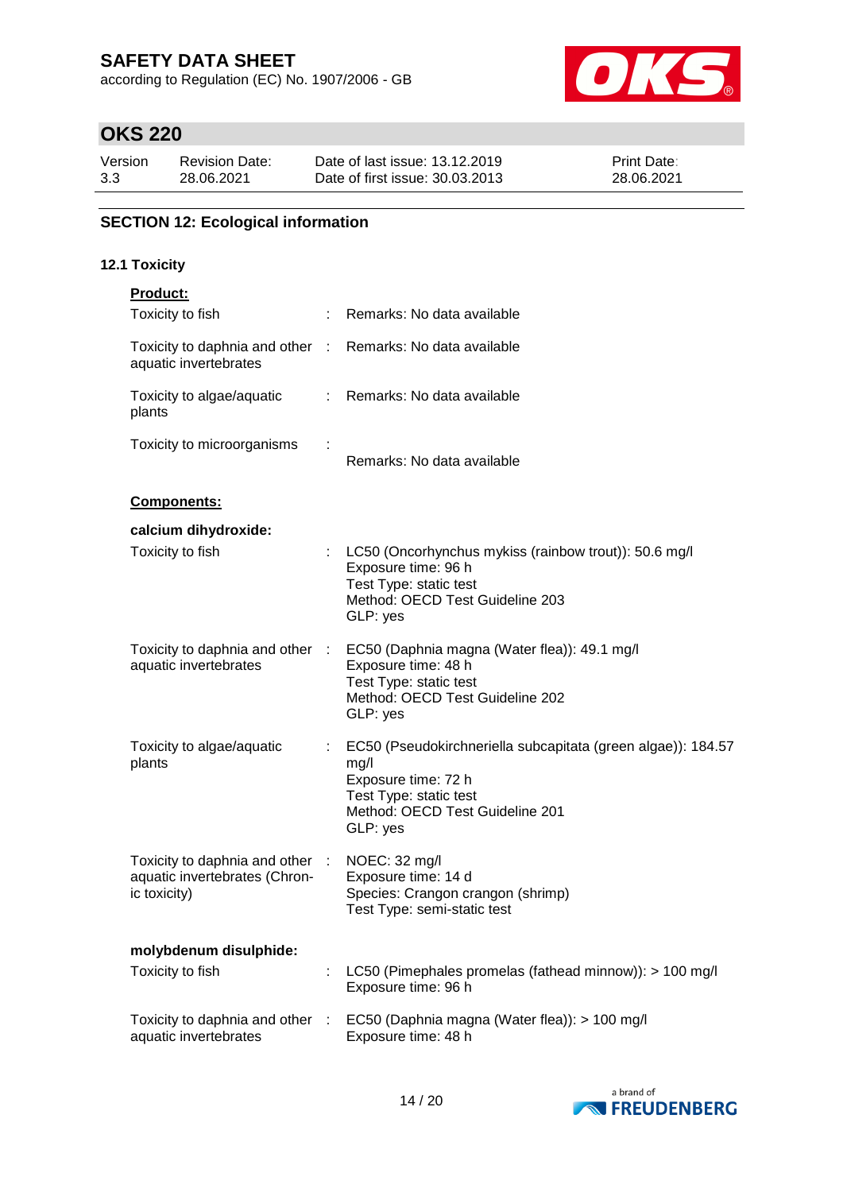according to Regulation (EC) No. 1907/2006 - GB



# **OKS 220**

| Version | <b>Revision Date:</b> | Date of last issue: 13.12.2019  | <b>Print Date:</b> |
|---------|-----------------------|---------------------------------|--------------------|
| 3.3     | 28.06.2021            | Date of first issue: 30.03.2013 | 28.06.2021         |

### **SECTION 12: Ecological information**

#### **12.1 Toxicity**

| Product:                                                                         |                |                                                                                                                                                                      |
|----------------------------------------------------------------------------------|----------------|----------------------------------------------------------------------------------------------------------------------------------------------------------------------|
| Toxicity to fish                                                                 |                | Remarks: No data available                                                                                                                                           |
| Toxicity to daphnia and other :<br>aquatic invertebrates                         |                | Remarks: No data available                                                                                                                                           |
| Toxicity to algae/aquatic<br>plants                                              | $\mathbb{R}^n$ | Remarks: No data available                                                                                                                                           |
| Toxicity to microorganisms                                                       |                | Remarks: No data available                                                                                                                                           |
| Components:                                                                      |                |                                                                                                                                                                      |
| calcium dihydroxide:                                                             |                |                                                                                                                                                                      |
| Toxicity to fish                                                                 |                | LC50 (Oncorhynchus mykiss (rainbow trout)): 50.6 mg/l<br>Exposure time: 96 h<br>Test Type: static test<br>Method: OECD Test Guideline 203<br>GLP: yes                |
| Toxicity to daphnia and other :<br>aquatic invertebrates                         |                | EC50 (Daphnia magna (Water flea)): 49.1 mg/l<br>Exposure time: 48 h<br>Test Type: static test<br>Method: OECD Test Guideline 202<br>GLP: yes                         |
| Toxicity to algae/aquatic<br>plants                                              |                | EC50 (Pseudokirchneriella subcapitata (green algae)): 184.57<br>mg/l<br>Exposure time: 72 h<br>Test Type: static test<br>Method: OECD Test Guideline 201<br>GLP: yes |
| Toxicity to daphnia and other :<br>aquatic invertebrates (Chron-<br>ic toxicity) |                | NOEC: 32 mg/l<br>Exposure time: 14 d<br>Species: Crangon crangon (shrimp)<br>Test Type: semi-static test                                                             |
| molybdenum disulphide:                                                           |                |                                                                                                                                                                      |
| Toxicity to fish                                                                 |                | LC50 (Pimephales promelas (fathead minnow)): > 100 mg/l<br>Exposure time: 96 h                                                                                       |
| Toxicity to daphnia and other<br>aquatic invertebrates                           | - 11           | EC50 (Daphnia magna (Water flea)): > 100 mg/l<br>Exposure time: 48 h                                                                                                 |

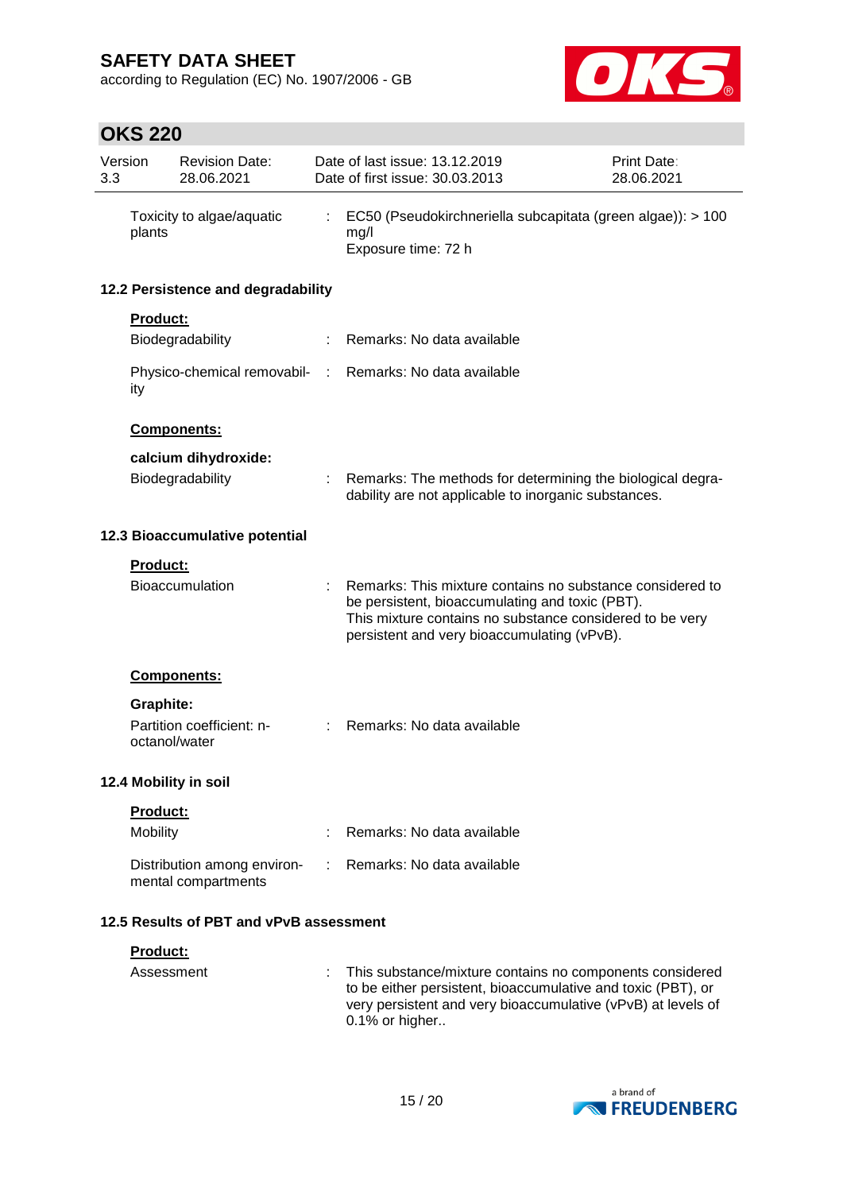according to Regulation (EC) No. 1907/2006 - GB



| 3.3                            | Version         | <b>Revision Date:</b><br>28.06.2021                |  | Date of last issue: 13.12.2019<br>Date of first issue: 30.03.2013                                                                                                                                                       |  | Print Date:<br>28.06.2021 |
|--------------------------------|-----------------|----------------------------------------------------|--|-------------------------------------------------------------------------------------------------------------------------------------------------------------------------------------------------------------------------|--|---------------------------|
|                                | plants          | Toxicity to algae/aquatic                          |  | EC50 (Pseudokirchneriella subcapitata (green algae)): > 100<br>mg/l<br>Exposure time: 72 h                                                                                                                              |  |                           |
|                                |                 | 12.2 Persistence and degradability                 |  |                                                                                                                                                                                                                         |  |                           |
|                                | <b>Product:</b> |                                                    |  |                                                                                                                                                                                                                         |  |                           |
|                                |                 | Biodegradability                                   |  | Remarks: No data available                                                                                                                                                                                              |  |                           |
|                                | ity             |                                                    |  | Physico-chemical removabil- : Remarks: No data available                                                                                                                                                                |  |                           |
|                                |                 | Components:                                        |  |                                                                                                                                                                                                                         |  |                           |
|                                |                 | calcium dihydroxide:                               |  |                                                                                                                                                                                                                         |  |                           |
|                                |                 | Biodegradability                                   |  | Remarks: The methods for determining the biological degra-<br>dability are not applicable to inorganic substances.                                                                                                      |  |                           |
| 12.3 Bioaccumulative potential |                 |                                                    |  |                                                                                                                                                                                                                         |  |                           |
|                                | <b>Product:</b> |                                                    |  |                                                                                                                                                                                                                         |  |                           |
|                                |                 | Bioaccumulation                                    |  | Remarks: This mixture contains no substance considered to<br>be persistent, bioaccumulating and toxic (PBT).<br>This mixture contains no substance considered to be very<br>persistent and very bioaccumulating (vPvB). |  |                           |
|                                |                 | Components:                                        |  |                                                                                                                                                                                                                         |  |                           |
|                                | Graphite:       |                                                    |  |                                                                                                                                                                                                                         |  |                           |
|                                | octanol/water   | Partition coefficient: n-                          |  | Remarks: No data available                                                                                                                                                                                              |  |                           |
|                                |                 | 12.4 Mobility in soil                              |  |                                                                                                                                                                                                                         |  |                           |
|                                | <b>Product:</b> |                                                    |  |                                                                                                                                                                                                                         |  |                           |
|                                | Mobility        |                                                    |  | Remarks: No data available                                                                                                                                                                                              |  |                           |
|                                |                 | Distribution among environ-<br>mental compartments |  | Remarks: No data available                                                                                                                                                                                              |  |                           |
|                                |                 | 12.5 Results of PBT and vPvB assessment            |  |                                                                                                                                                                                                                         |  |                           |
|                                | Product:        |                                                    |  |                                                                                                                                                                                                                         |  |                           |
|                                | Assessment      |                                                    |  | This substance/mixture contains no components considered<br>to be either persistent, bioaccumulative and toxic (PBT), or<br>very persistent and very bioaccumulative (vPvB) at levels of<br>0.1% or higher              |  |                           |

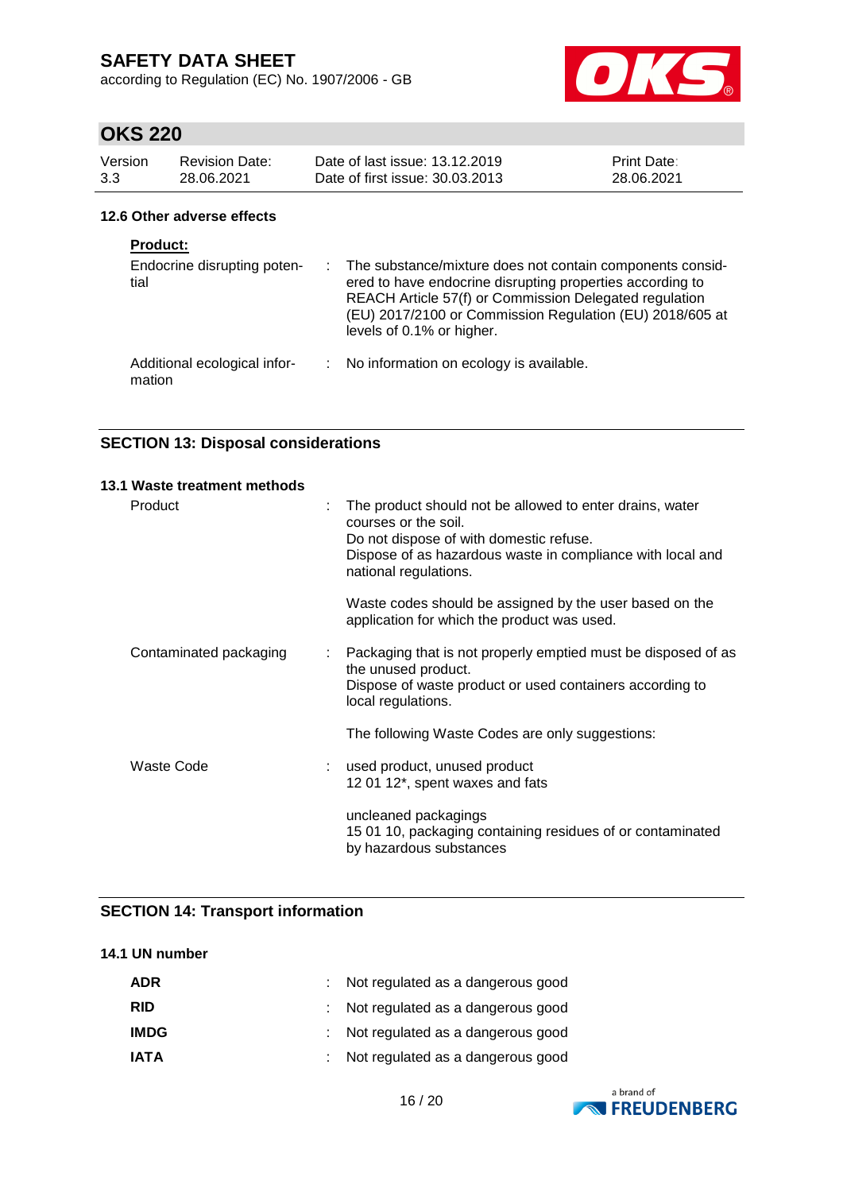according to Regulation (EC) No. 1907/2006 - GB



# **OKS 220**

| Version<br>3.3  | <b>Revision Date:</b><br>28.06.2021 | Date of last issue: 13.12.2019<br>Date of first issue: 30.03.2013      | <b>Print Date:</b><br>28.06.2021 |
|-----------------|-------------------------------------|------------------------------------------------------------------------|----------------------------------|
|                 | 12.6 Other adverse effects          |                                                                        |                                  |
| <b>Product:</b> | Endocrine disrupting poten-         | $\therefore$ The substance/mixture does not contain components consid- |                                  |

| Endocrine disrupting poten-<br>tial    |               | : The substance/mixture does not contain components consid-<br>ered to have endocrine disrupting properties according to<br>REACH Article 57(f) or Commission Delegated regulation<br>(EU) 2017/2100 or Commission Regulation (EU) 2018/605 at<br>levels of 0.1% or higher. |
|----------------------------------------|---------------|-----------------------------------------------------------------------------------------------------------------------------------------------------------------------------------------------------------------------------------------------------------------------------|
| Additional ecological infor-<br>mation | $\mathcal{L}$ | No information on ecology is available.                                                                                                                                                                                                                                     |

### **SECTION 13: Disposal considerations**

| 13.1 Waste treatment methods |   |                                                                                                                                                                                                                    |
|------------------------------|---|--------------------------------------------------------------------------------------------------------------------------------------------------------------------------------------------------------------------|
| Product                      | ÷ | The product should not be allowed to enter drains, water<br>courses or the soil.<br>Do not dispose of with domestic refuse.<br>Dispose of as hazardous waste in compliance with local and<br>national regulations. |
|                              |   | Waste codes should be assigned by the user based on the<br>application for which the product was used.                                                                                                             |
| Contaminated packaging       | ÷ | Packaging that is not properly emptied must be disposed of as<br>the unused product.<br>Dispose of waste product or used containers according to<br>local regulations.                                             |
|                              |   | The following Waste Codes are only suggestions:                                                                                                                                                                    |
| <b>Waste Code</b>            |   | used product, unused product<br>12 01 12*, spent waxes and fats                                                                                                                                                    |
|                              |   | uncleaned packagings<br>15 01 10, packaging containing residues of or contaminated<br>by hazardous substances                                                                                                      |

### **SECTION 14: Transport information**

### **14.1 UN number**

| ADR         | : Not regulated as a dangerous good |
|-------------|-------------------------------------|
| <b>RID</b>  | : Not regulated as a dangerous good |
| <b>IMDG</b> | : Not regulated as a dangerous good |
| <b>IATA</b> | : Not regulated as a dangerous good |

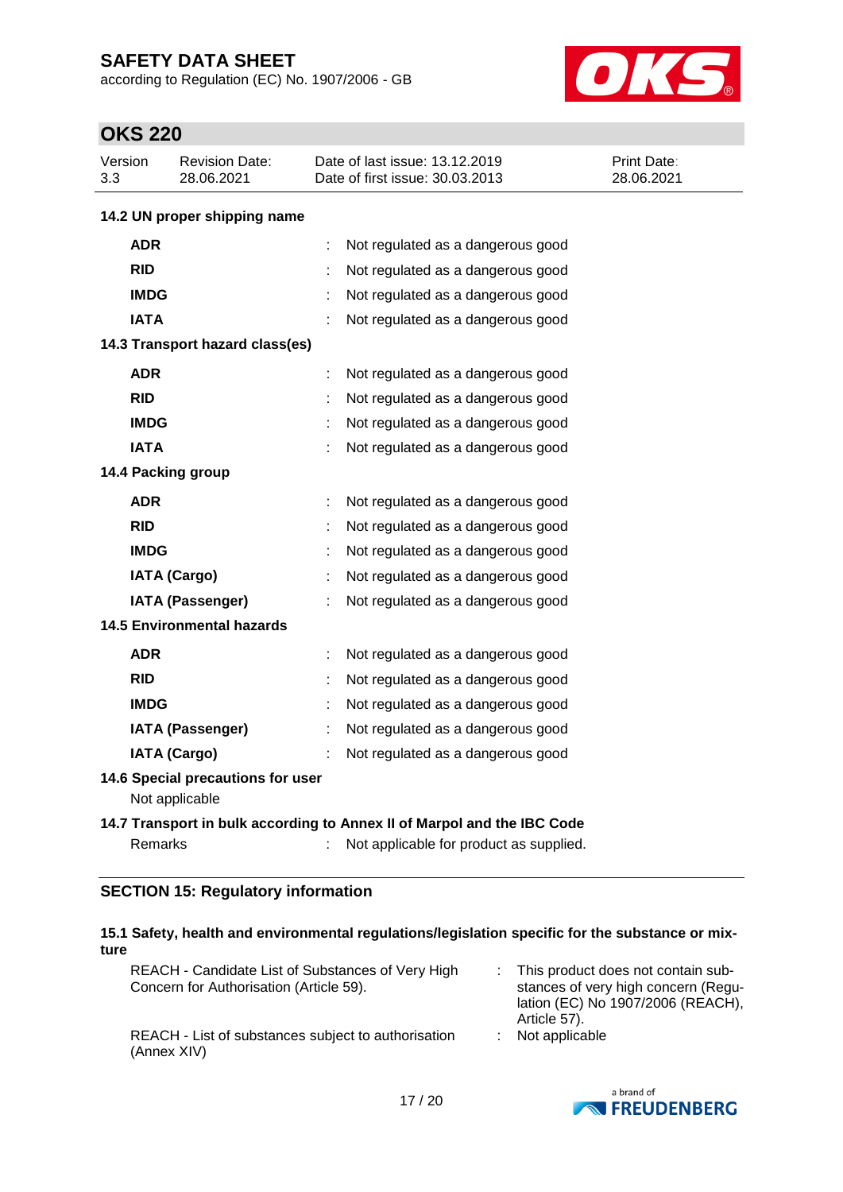according to Regulation (EC) No. 1907/2006 - GB



# **OKS 220**

| Version<br>3.3 | <b>Revision Date:</b><br>28.06.2021                                     | Date of last issue: 13.12.2019<br>Print Date:<br>Date of first issue: 30.03.2013<br>28.06.2021 |  |  |  |  |  |  |  |
|----------------|-------------------------------------------------------------------------|------------------------------------------------------------------------------------------------|--|--|--|--|--|--|--|
|                | 14.2 UN proper shipping name                                            |                                                                                                |  |  |  |  |  |  |  |
| <b>ADR</b>     |                                                                         | ÷<br>Not regulated as a dangerous good                                                         |  |  |  |  |  |  |  |
| <b>RID</b>     |                                                                         | Not regulated as a dangerous good                                                              |  |  |  |  |  |  |  |
|                | <b>IMDG</b>                                                             | Not regulated as a dangerous good                                                              |  |  |  |  |  |  |  |
| <b>IATA</b>    |                                                                         | Not regulated as a dangerous good                                                              |  |  |  |  |  |  |  |
|                | 14.3 Transport hazard class(es)                                         |                                                                                                |  |  |  |  |  |  |  |
| <b>ADR</b>     |                                                                         | Not regulated as a dangerous good<br>t                                                         |  |  |  |  |  |  |  |
| <b>RID</b>     |                                                                         | Not regulated as a dangerous good<br>÷                                                         |  |  |  |  |  |  |  |
|                | <b>IMDG</b>                                                             | Not regulated as a dangerous good                                                              |  |  |  |  |  |  |  |
|                | <b>IATA</b>                                                             | Not regulated as a dangerous good                                                              |  |  |  |  |  |  |  |
|                | 14.4 Packing group                                                      |                                                                                                |  |  |  |  |  |  |  |
| <b>ADR</b>     |                                                                         | Not regulated as a dangerous good<br>t                                                         |  |  |  |  |  |  |  |
| <b>RID</b>     |                                                                         | Not regulated as a dangerous good<br>÷                                                         |  |  |  |  |  |  |  |
|                | <b>IMDG</b>                                                             | t<br>Not regulated as a dangerous good                                                         |  |  |  |  |  |  |  |
|                | <b>IATA (Cargo)</b>                                                     | Not regulated as a dangerous good                                                              |  |  |  |  |  |  |  |
|                | <b>IATA (Passenger)</b>                                                 | Not regulated as a dangerous good                                                              |  |  |  |  |  |  |  |
|                | <b>14.5 Environmental hazards</b>                                       |                                                                                                |  |  |  |  |  |  |  |
| <b>ADR</b>     |                                                                         | Not regulated as a dangerous good<br>t                                                         |  |  |  |  |  |  |  |
| <b>RID</b>     |                                                                         | Not regulated as a dangerous good                                                              |  |  |  |  |  |  |  |
|                | <b>IMDG</b>                                                             | Not regulated as a dangerous good                                                              |  |  |  |  |  |  |  |
|                | IATA (Passenger)                                                        | Not regulated as a dangerous good                                                              |  |  |  |  |  |  |  |
|                | <b>IATA (Cargo)</b>                                                     | Not regulated as a dangerous good                                                              |  |  |  |  |  |  |  |
|                | 14.6 Special precautions for user<br>Not applicable                     |                                                                                                |  |  |  |  |  |  |  |
|                | 14.7 Transport in bulk according to Annex II of Marpol and the IBC Code |                                                                                                |  |  |  |  |  |  |  |
|                | <b>Remarks</b>                                                          | Not applicable for product as supplied.                                                        |  |  |  |  |  |  |  |

### **SECTION 15: Regulatory information**

| 15.1 Safety, health and environmental regulations/legislation specific for the substance or mix-<br>ture |                                                                                                                                |
|----------------------------------------------------------------------------------------------------------|--------------------------------------------------------------------------------------------------------------------------------|
| REACH - Candidate List of Substances of Very High<br>Concern for Authorisation (Article 59).             | This product does not contain sub-<br>stances of very high concern (Regu-<br>lation (EC) No 1907/2006 (REACH),<br>Article 57). |
| REACH - List of substances subject to authorisation<br>(Annex XIV)                                       | Not applicable                                                                                                                 |

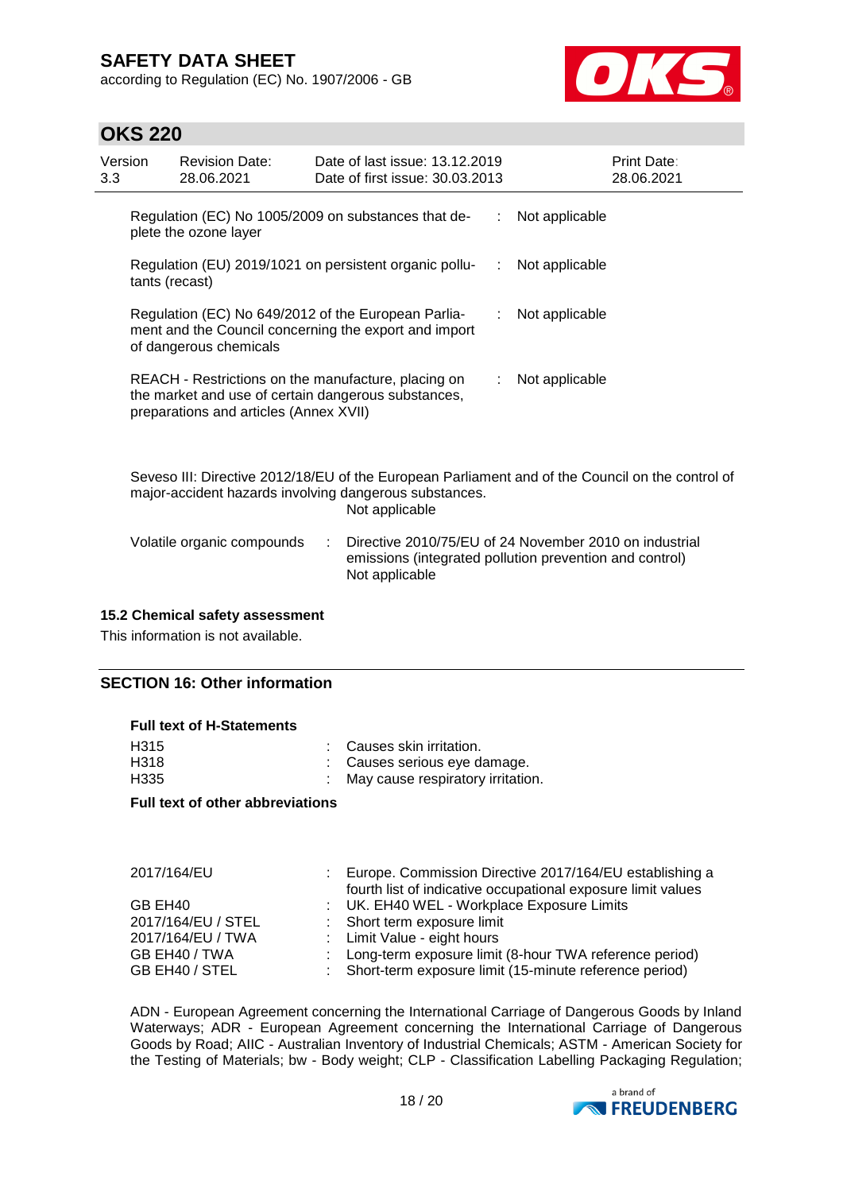according to Regulation (EC) No. 1907/2006 - GB



## **OKS 220**

| Version<br>3.3                                                                                                                         | <b>Revision Date:</b><br>28.06.2021    | Date of last issue: 13.12.2019<br>Date of first issue: 30.03.2013                                          |    | Print Date:<br>28.06.2021                                                                        |
|----------------------------------------------------------------------------------------------------------------------------------------|----------------------------------------|------------------------------------------------------------------------------------------------------------|----|--------------------------------------------------------------------------------------------------|
|                                                                                                                                        | plete the ozone layer                  | Regulation (EC) No 1005/2009 on substances that de-                                                        |    | : Not applicable                                                                                 |
| tants (recast)                                                                                                                         |                                        | Regulation (EU) 2019/1021 on persistent organic pollu-                                                     | ÷. | Not applicable                                                                                   |
| Regulation (EC) No 649/2012 of the European Parlia-<br>ment and the Council concerning the export and import<br>of dangerous chemicals |                                        |                                                                                                            |    | Not applicable                                                                                   |
|                                                                                                                                        | preparations and articles (Annex XVII) | REACH - Restrictions on the manufacture, placing on<br>the market and use of certain dangerous substances, |    | : Not applicable                                                                                 |
|                                                                                                                                        |                                        | major-accident hazards involving dangerous substances.<br>Not applicable                                   |    | Seveso III: Directive 2012/18/EU of the European Parliament and of the Council on the control of |
|                                                                                                                                        |                                        |                                                                                                            |    |                                                                                                  |

| Volatile organic compounds | Directive 2010/75/EU of 24 November 2010 on industrial  |
|----------------------------|---------------------------------------------------------|
|                            | emissions (integrated pollution prevention and control) |
|                            | Not applicable                                          |

#### **15.2 Chemical safety assessment**

This information is not available.

### **SECTION 16: Other information**

#### **Full text of H-Statements**

| H315 | : Causes skin irritation.           |
|------|-------------------------------------|
| H318 | : Causes serious eye damage.        |
| H335 | : May cause respiratory irritation. |

#### **Full text of other abbreviations**

| <b>ZUITTIO4/EU</b> |  |
|--------------------|--|
| GB EH40            |  |

| 2017/164/EU        | Europe. Commission Directive 2017/164/EU establishing a<br>fourth list of indicative occupational exposure limit values |
|--------------------|-------------------------------------------------------------------------------------------------------------------------|
| GB EH40            | : UK. EH40 WEL - Workplace Exposure Limits                                                                              |
| 2017/164/EU / STEL | : Short term exposure limit                                                                                             |
| 2017/164/EU / TWA  | : Limit Value - eight hours                                                                                             |
| GB EH40 / TWA      | : Long-term exposure limit (8-hour TWA reference period)                                                                |
| GB EH40 / STEL     | : Short-term exposure limit (15-minute reference period)                                                                |

ADN - European Agreement concerning the International Carriage of Dangerous Goods by Inland Waterways; ADR - European Agreement concerning the International Carriage of Dangerous Goods by Road; AIIC - Australian Inventory of Industrial Chemicals; ASTM - American Society for the Testing of Materials; bw - Body weight; CLP - Classification Labelling Packaging Regulation;

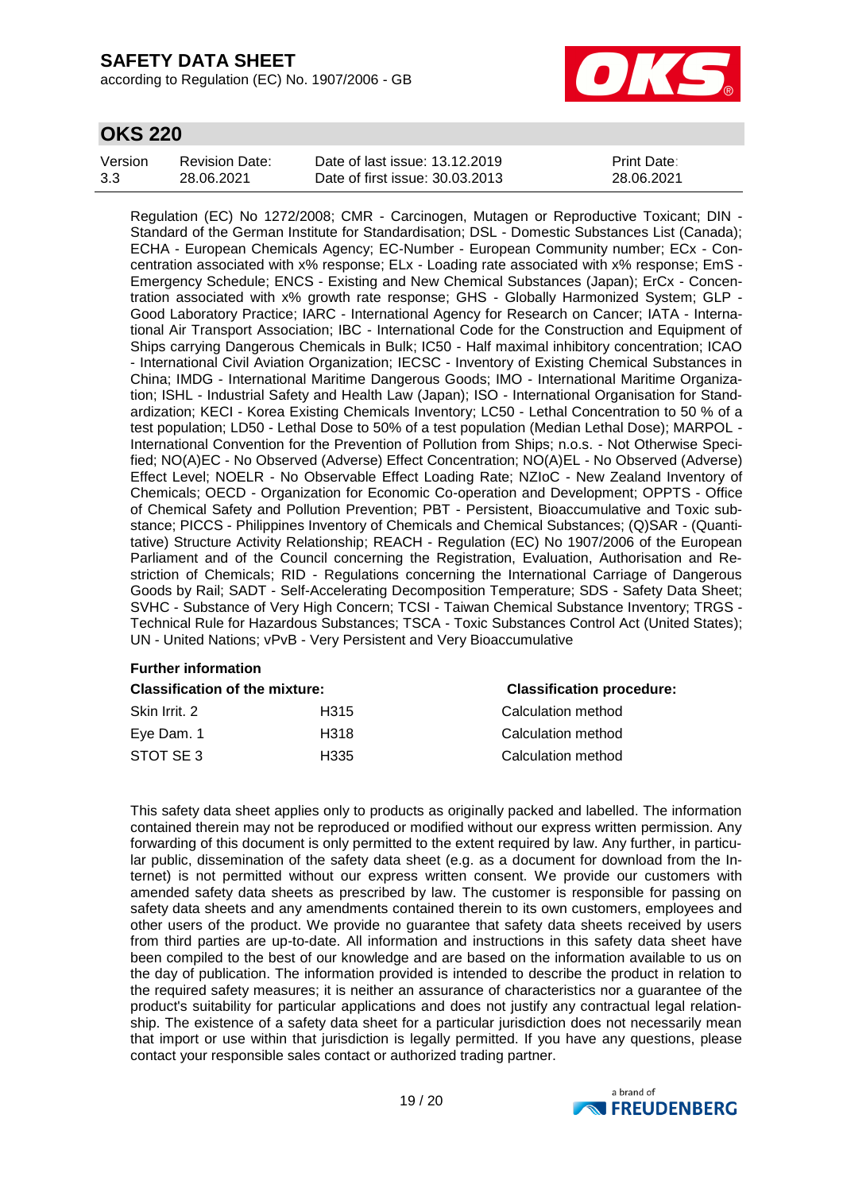according to Regulation (EC) No. 1907/2006 - GB



## **OKS 220**

| Version | Revision Date: | Date of last issue: 13.12.2019  | <b>Print Date:</b> |
|---------|----------------|---------------------------------|--------------------|
| 3.3     | 28.06.2021     | Date of first issue: 30.03.2013 | 28.06.2021         |

Regulation (EC) No 1272/2008; CMR - Carcinogen, Mutagen or Reproductive Toxicant; DIN - Standard of the German Institute for Standardisation; DSL - Domestic Substances List (Canada); ECHA - European Chemicals Agency; EC-Number - European Community number; ECx - Concentration associated with x% response; ELx - Loading rate associated with x% response; EmS - Emergency Schedule; ENCS - Existing and New Chemical Substances (Japan); ErCx - Concentration associated with x% growth rate response; GHS - Globally Harmonized System; GLP - Good Laboratory Practice; IARC - International Agency for Research on Cancer; IATA - International Air Transport Association; IBC - International Code for the Construction and Equipment of Ships carrying Dangerous Chemicals in Bulk; IC50 - Half maximal inhibitory concentration; ICAO - International Civil Aviation Organization; IECSC - Inventory of Existing Chemical Substances in China; IMDG - International Maritime Dangerous Goods; IMO - International Maritime Organization; ISHL - Industrial Safety and Health Law (Japan); ISO - International Organisation for Standardization; KECI - Korea Existing Chemicals Inventory; LC50 - Lethal Concentration to 50 % of a test population; LD50 - Lethal Dose to 50% of a test population (Median Lethal Dose); MARPOL - International Convention for the Prevention of Pollution from Ships; n.o.s. - Not Otherwise Specified; NO(A)EC - No Observed (Adverse) Effect Concentration; NO(A)EL - No Observed (Adverse) Effect Level; NOELR - No Observable Effect Loading Rate; NZIoC - New Zealand Inventory of Chemicals; OECD - Organization for Economic Co-operation and Development; OPPTS - Office of Chemical Safety and Pollution Prevention; PBT - Persistent, Bioaccumulative and Toxic substance; PICCS - Philippines Inventory of Chemicals and Chemical Substances; (Q)SAR - (Quantitative) Structure Activity Relationship; REACH - Regulation (EC) No 1907/2006 of the European Parliament and of the Council concerning the Registration, Evaluation, Authorisation and Restriction of Chemicals; RID - Regulations concerning the International Carriage of Dangerous Goods by Rail; SADT - Self-Accelerating Decomposition Temperature; SDS - Safety Data Sheet; SVHC - Substance of Very High Concern; TCSI - Taiwan Chemical Substance Inventory; TRGS - Technical Rule for Hazardous Substances; TSCA - Toxic Substances Control Act (United States); UN - United Nations; vPvB - Very Persistent and Very Bioaccumulative

#### **Further information**

| <b>Classification of the mixture:</b> |      | <b>Classification procedure:</b> |  |
|---------------------------------------|------|----------------------------------|--|
| Skin Irrit. 2                         | H315 | Calculation method               |  |
| Eve Dam. 1                            | H318 | Calculation method               |  |
| STOT SE3                              | H335 | Calculation method               |  |

This safety data sheet applies only to products as originally packed and labelled. The information contained therein may not be reproduced or modified without our express written permission. Any forwarding of this document is only permitted to the extent required by law. Any further, in particular public, dissemination of the safety data sheet (e.g. as a document for download from the Internet) is not permitted without our express written consent. We provide our customers with amended safety data sheets as prescribed by law. The customer is responsible for passing on safety data sheets and any amendments contained therein to its own customers, employees and other users of the product. We provide no guarantee that safety data sheets received by users from third parties are up-to-date. All information and instructions in this safety data sheet have been compiled to the best of our knowledge and are based on the information available to us on the day of publication. The information provided is intended to describe the product in relation to the required safety measures; it is neither an assurance of characteristics nor a guarantee of the product's suitability for particular applications and does not justify any contractual legal relationship. The existence of a safety data sheet for a particular jurisdiction does not necessarily mean that import or use within that jurisdiction is legally permitted. If you have any questions, please contact your responsible sales contact or authorized trading partner.